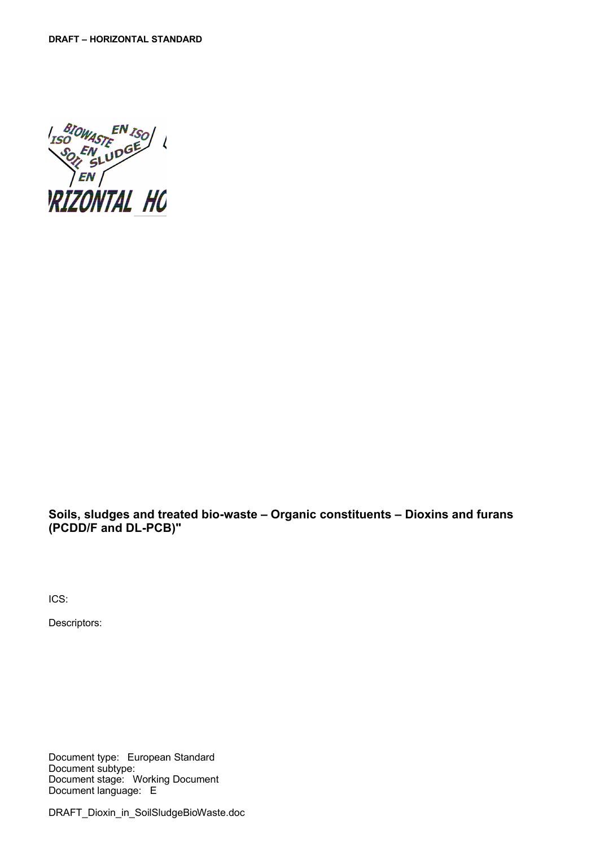

<span id="page-0-0"></span>**Soils, sludges and treated bio-waste – Organic constituents – Dioxins and furans (PCDD/F and DL-PCB)"**

ICS:

Descriptors:

Document type: Eu[ro](#page-0-0)pean Standard Document subtype: Document stage: [Working Document](#page-0-0) Document language: [E](#page-0-0)

DRAFT\_Dioxin\_in\_SoilSludgeBioWaste.doc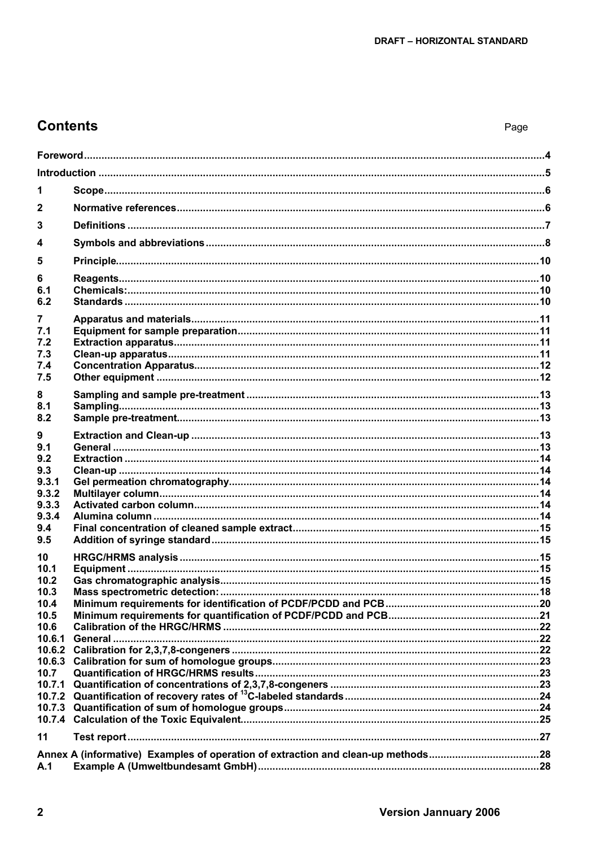# **Contents**

| 1              |  |
|----------------|--|
| $\mathbf{2}$   |  |
| 3              |  |
| 4              |  |
| 5              |  |
| 6              |  |
| 6.1            |  |
| 6.2            |  |
| 7              |  |
| 7.1            |  |
| 7.2<br>7.3     |  |
| 7.4            |  |
| 7.5            |  |
| 8              |  |
| 8.1            |  |
| 8.2            |  |
|                |  |
| 9.1            |  |
| 9.2<br>9.3     |  |
| 9.3.1          |  |
| 9.3.2          |  |
| 9.3.3          |  |
| 9.3.4<br>9.4   |  |
| 9.5            |  |
|                |  |
| 10<br>10.1     |  |
| 10.2           |  |
| 10.3           |  |
| 10.4           |  |
| 10.5<br>10.6   |  |
| 10.6.1         |  |
| 10.6.2         |  |
| 10.6.3         |  |
| 10.7<br>10.7.1 |  |
| 10.7.2         |  |
| 10.7.3         |  |
|                |  |
| 11             |  |
|                |  |
| A.1            |  |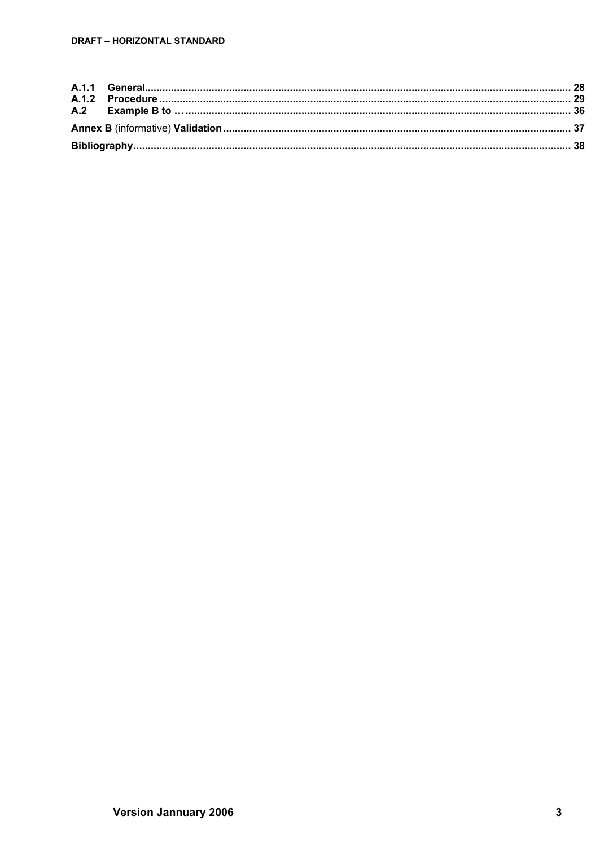### DRAFT - HORIZONTAL STANDARD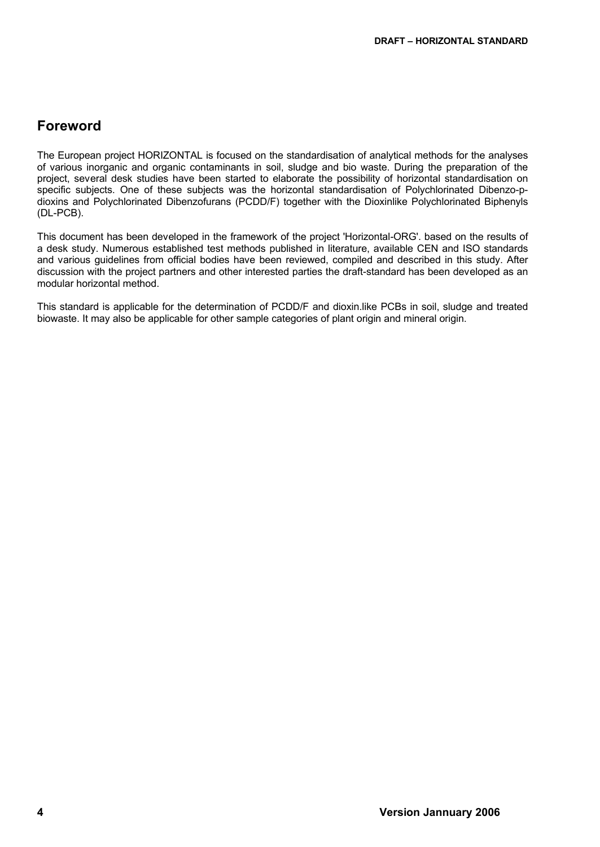# <span id="page-3-0"></span>**Foreword**

The European project HORIZONTAL is focused on the standardisation of analytical methods for the analyses of various inorganic and organic contaminants in soil, sludge and bio waste. During the preparation of the project, several desk studies have been started to elaborate the possibility of horizontal standardisation on specific subjects. One of these subjects was the horizontal standardisation of Polychlorinated Dibenzo-pdioxins and Polychlorinated Dibenzofurans (PCDD/F) together with the Dioxinlike Polychlorinated Biphenyls (DL-PCB).

This document has been developed in the framework of the project 'Horizontal-ORG'. based on the results of a desk study. Numerous established test methods published in literature, available CEN and ISO standards and various guidelines from official bodies have been reviewed, compiled and described in this study. After discussion with the project partners and other interested parties the draft-standard has been developed as an modular horizontal method.

This standard is applicable for the determination of PCDD/F and dioxin.like PCBs in soil, sludge and treated biowaste. It may also be applicable for other sample categories of plant origin and mineral origin.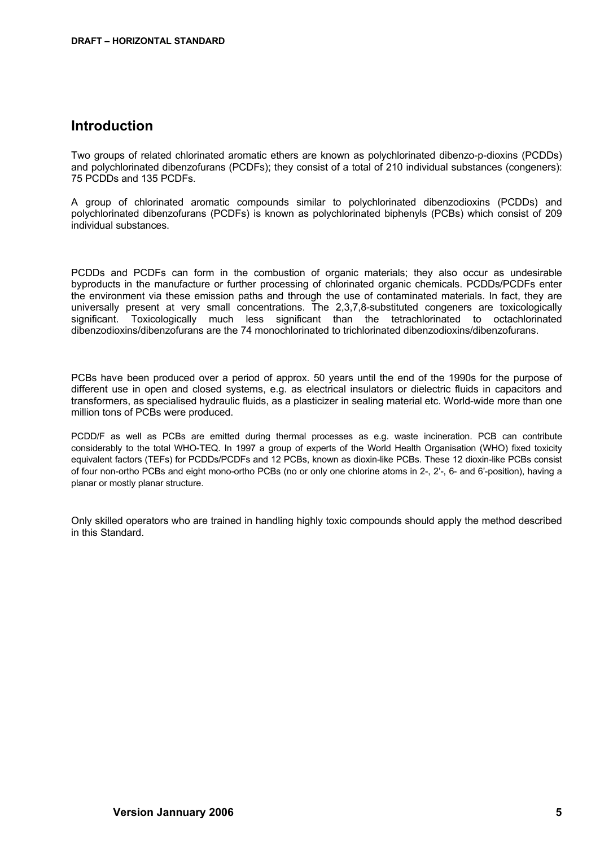# <span id="page-4-0"></span>**Introduction**

Two groups of related chlorinated aromatic ethers are known as polychlorinated dibenzo-p-dioxins (PCDDs) and polychlorinated dibenzofurans (PCDFs); they consist of a total of 210 individual substances (congeners): 75 PCDDs and 135 PCDFs.

A group of chlorinated aromatic compounds similar to polychlorinated dibenzodioxins (PCDDs) and polychlorinated dibenzofurans (PCDFs) is known as polychlorinated biphenyls (PCBs) which consist of 209 individual substances.

PCDDs and PCDFs can form in the combustion of organic materials; they also occur as undesirable byproducts in the manufacture or further processing of chlorinated organic chemicals. PCDDs/PCDFs enter the environment via these emission paths and through the use of contaminated materials. In fact, they are universally present at very small concentrations. The 2,3,7,8-substituted congeners are toxicologically significant. Toxicologically much less significant than the tetrachlorinated to octachlorinated dibenzodioxins/dibenzofurans are the 74 monochlorinated to trichlorinated dibenzodioxins/dibenzofurans.

PCBs have been produced over a period of approx. 50 years until the end of the 1990s for the purpose of different use in open and closed systems, e.g. as electrical insulators or dielectric fluids in capacitors and transformers, as specialised hydraulic fluids, as a plasticizer in sealing material etc. World-wide more than one million tons of PCBs were produced.

PCDD/F as well as PCBs are emitted during thermal processes as e.g. waste incineration. PCB can contribute considerably to the total WHO-TEQ. In 1997 a group of experts of the World Health Organisation (WHO) fixed toxicity equivalent factors (TEFs) for PCDDs/PCDFs and 12 PCBs, known as dioxin-like PCBs. These 12 dioxin-like PCBs consist of four non-ortho PCBs and eight mono-ortho PCBs (no or only one chlorine atoms in 2-, 2'-, 6- and 6'-position), having a planar or mostly planar structure.

Only skilled operators who are trained in handling highly toxic compounds should apply the method described in this Standard.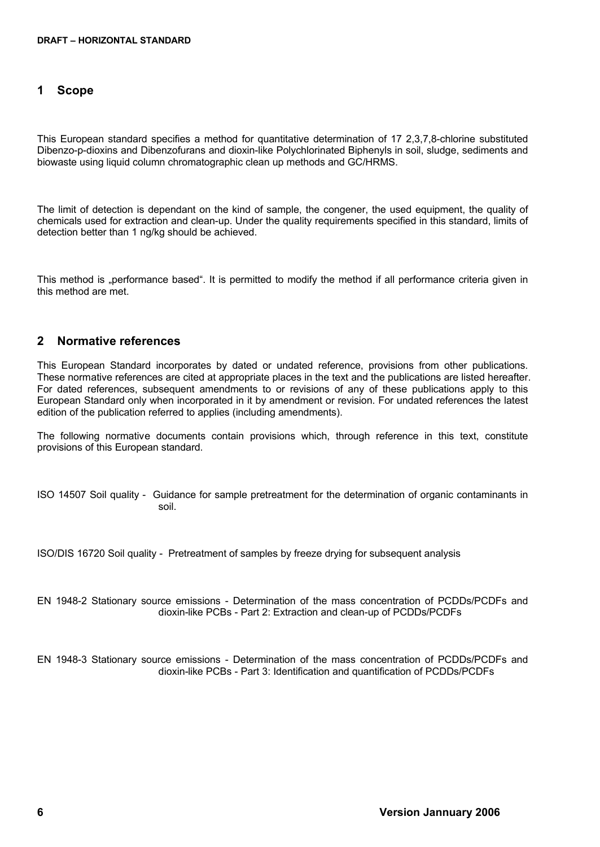# <span id="page-5-1"></span>**1 Scope**

This European standard specifies a method for quantitative determination of 17 2,3,7,8-chlorine substituted Dibenzo-p-dioxins and Dibenzofurans and dioxin-like Polychlorinated Biphenyls in soil, sludge, sediments and biowaste using liquid column chromatographic clean up methods and GC/HRMS.

The limit of detection is dependant on the kind of sample, the congener, the used equipment, the quality of chemicals used for extraction and clean-up. Under the quality requirements specified in this standard, limits of detection better than 1 ng/kg should be achieved.

This method is "performance based". It is permitted to modify the method if all performance criteria given in this method are met.

# <span id="page-5-0"></span>**2 Normative references**

This European Standard incorporates by dated or undated reference, provisions from other publications. These normative references are cited at appropriate places in the text and the publications are listed hereafter. For dated references, subsequent amendments to or revisions of any of these publications apply to this European Standard only when incorporated in it by amendment or revision. For undated references the latest edition of the publication referred to applies (including amendments).

The following normative documents contain provisions which, through reference in this text, constitute provisions of this European standard.

ISO 14507 Soil quality - Guidance for sample pretreatment for the determination of organic contaminants in soil.

ISO/DIS 16720 Soil quality - Pretreatment of samples by freeze drying for subsequent analysis

EN 1948-2 Stationary source emissions - Determination of the mass concentration of PCDDs/PCDFs and dioxin-like PCBs - Part 2: Extraction and clean-up of PCDDs/PCDFs

EN 1948-3 Stationary source emissions - Determination of the mass concentration of PCDDs/PCDFs and dioxin-like PCBs - Part 3: Identification and quantification of PCDDs/PCDFs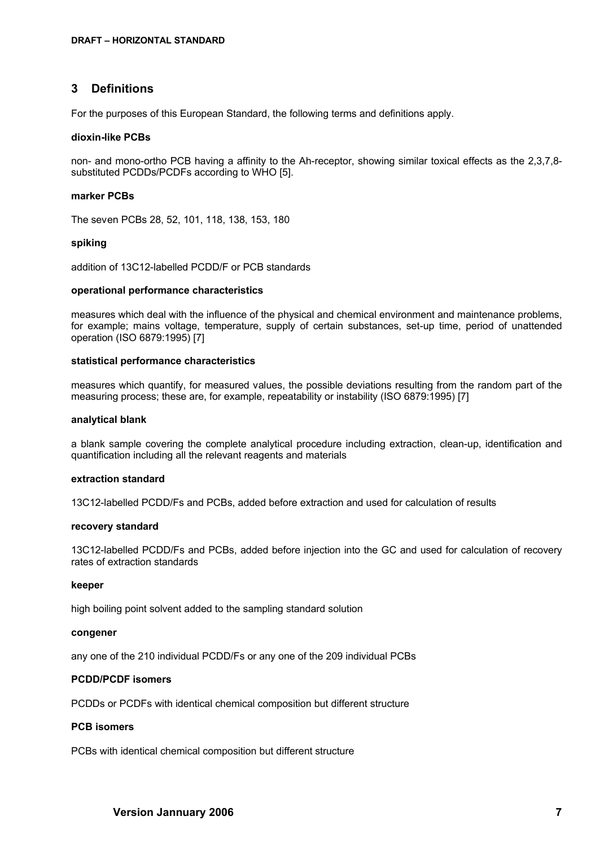# <span id="page-6-0"></span>**3 Definitions**

For the purposes of this [European Standard,](#page-0-0) the following terms and definitions apply.

#### **dioxin-like PCBs**

non- and mono-ortho PCB having a affinity to the Ah-receptor, showing similar toxical effects as the 2,3,7,8 substituted PCDDs/PCDFs according to WHO [5].

#### **marker PCBs**

The seven PCBs 28, 52, 101, 118, 138, 153, 180

#### **spiking**

addition of 13C12-labelled PCDD/F or PCB standards

#### **operational performance characteristics**

measures which deal with the influence of the physical and chemical environment and maintenance problems, for example; mains voltage, temperature, supply of certain substances, set-up time, period of unattended operation (ISO 6879:1995) [7]

#### **statistical performance characteristics**

measures which quantify, for measured values, the possible deviations resulting from the random part of the measuring process; these are, for example, repeatability or instability (ISO 6879:1995) [7]

#### **analytical blank**

a blank sample covering the complete analytical procedure including extraction, clean-up, identification and quantification including all the relevant reagents and materials

#### **extraction standard**

13C12-labelled PCDD/Fs and PCBs, added before extraction and used for calculation of results

#### **recovery standard**

13C12-labelled PCDD/Fs and PCBs, added before injection into the GC and used for calculation of recovery rates of extraction standards

#### **keeper**

high boiling point solvent added to the sampling standard solution

#### **congener**

any one of the 210 individual PCDD/Fs or any one of the 209 individual PCBs

## **PCDD/PCDF isomers**

PCDDs or PCDFs with identical chemical composition but different structure

### **PCB isomers**

PCBs with identical chemical composition but different structure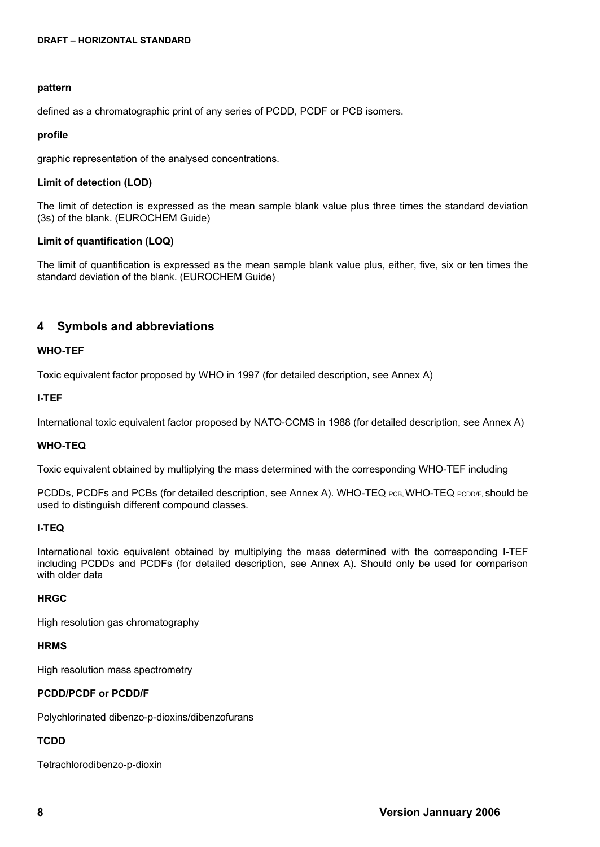#### **pattern**

defined as a chromatographic print of any series of PCDD, PCDF or PCB isomers.

#### **profile**

graphic representation of the analysed concentrations.

#### **Limit of detection (LOD)**

The limit of detection is expressed as the mean sample blank value plus three times the standard deviation (3s) of the blank. (EUROCHEM Guide)

### **Limit of quantification (LOQ)**

The limit of quantification is expressed as the mean sample blank value plus, either, five, six or ten times the standard deviation of the blank. (EUROCHEM Guide)

# <span id="page-7-0"></span>**4 Symbols and abbreviations**

#### **WHO-TEF**

Toxic equivalent factor proposed by WHO in 1997 (for detailed description, see Annex A)

#### **I-TEF**

International toxic equivalent factor proposed by NATO-CCMS in 1988 (for detailed description, see Annex A)

#### **WHO-TEQ**

Toxic equivalent obtained by multiplying the mass determined with the corresponding WHO-TEF including

PCDDs, PCDFs and PCBs (for detailed description, see Annex A). WHO-TEQ PCB, WHO-TEQ PCDD/F, should be used to distinguish different compound classes.

### **I-TEQ**

International toxic equivalent obtained by multiplying the mass determined with the corresponding I-TEF including PCDDs and PCDFs (for detailed description, see Annex A). Should only be used for comparison with older data

#### **HRGC**

High resolution gas chromatography

#### **HRMS**

High resolution mass spectrometry

### **PCDD/PCDF or PCDD/F**

Polychlorinated dibenzo-p-dioxins/dibenzofurans

# **TCDD**

Tetrachlorodibenzo-p-dioxin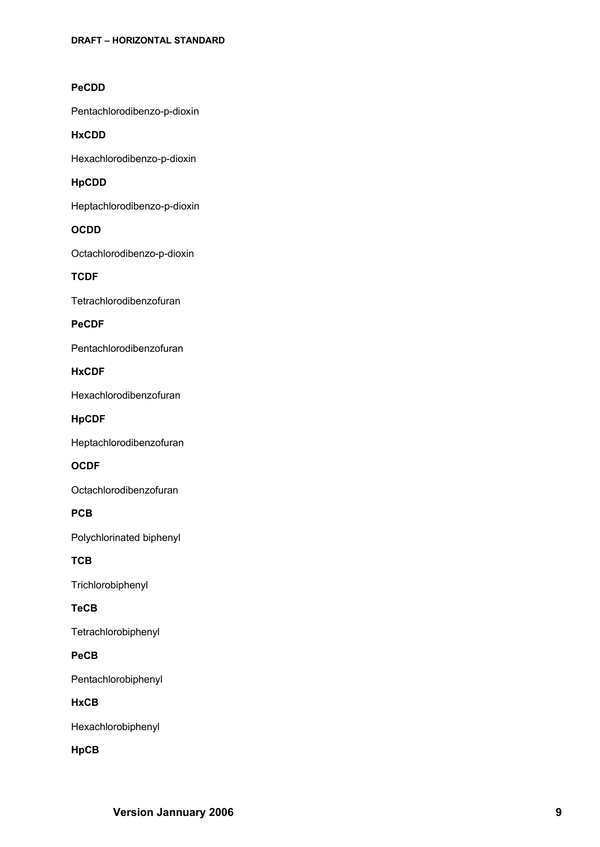# **PeCDD**

Pentachlorodibenzo - p -dioxin

### **HxCDD**

Hexachlorodibenzo - p -dioxin

# **HpCDD**

Heptachlorodibenzo - p -dioxin

# **OCDD**

Octachlorodibenzo-p-dioxin

**TCDF**

Tetrachlorodibenzofuran

# **PeCDF**

Pentachlorodibenzofuran

**HxCDF**

Hexachlorodibenzofuran

**HpCDF**

Heptachlorodibenzofuran

# **OCDF**

Octachlorodibenzofuran

**PCB**

Polychlorinated biphenyl

**TCB** 

Trichlorobiphenyl

# **TeCB**

Tetrachlorobiphenyl

# **PeCB**

Pentachlorobiphenyl

**HxCB** 

Hexachlorobiphenyl

**HpCB**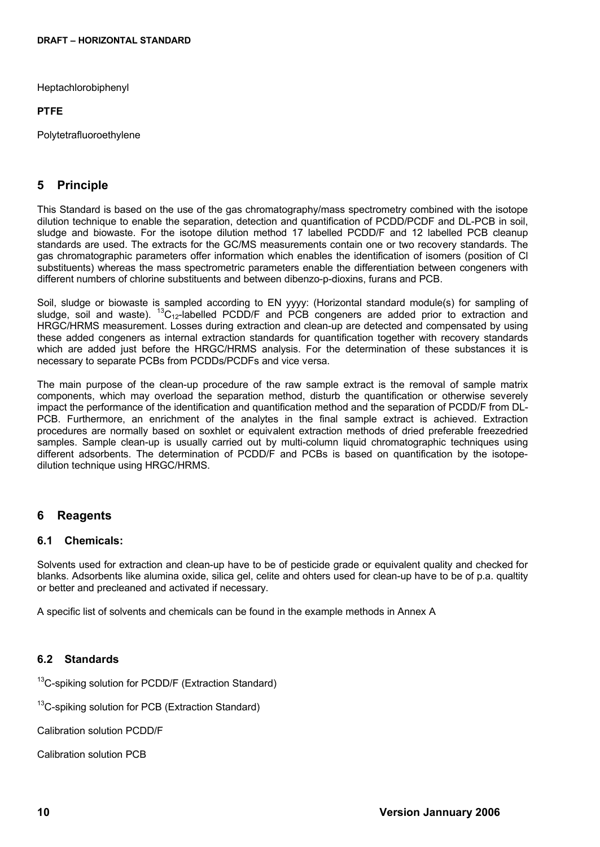Heptachlorobiphenyl

### **PTFE**

Polytetrafluoroethylene

# <span id="page-9-3"></span>**5 Principle**

This Standard is based on the use of the gas chromatography/mass spectrometry combined with the isotope dilution technique to enable the separation, detection and quantification of PCDD/PCDF and DL-PCB in soil, sludge and biowaste. For the isotope dilution method 17 labelled PCDD/F and 12 labelled PCB cleanup standards are used. The extracts for the GC/MS measurements contain one or two recovery standards. The gas chromatographic parameters offer information which enables the identification of isomers (position of Cl substituents) whereas the mass spectrometric parameters enable the differentiation between congeners with different numbers of chlorine substituents and between dibenzo-p-dioxins, furans and PCB.

Soil, sludge or biowaste is sampled according to EN yyyy: (Horizontal standard module(s) for sampling of sludge, soil and waste). <sup>13</sup>C<sub>12</sub>-labelled PCDD/F and PCB congeners are added prior to extraction and HRGC/HRMS measurement. Losses during extraction and clean-up are detected and compensated by using these added congeners as internal extraction standards for quantification together with recovery standards which are added just before the HRGC/HRMS analysis. For the determination of these substances it is necessary to separate PCBs from PCDDs/PCDFs and vice versa.

The main purpose of the clean-up procedure of the raw sample extract is the removal of sample matrix components, which may overload the separation method, disturb the quantification or otherwise severely impact the performance of the identification and quantification method and the separation of PCDD/F from DL-PCB. Furthermore, an enrichment of the analytes in the final sample extract is achieved. Extraction procedures are normally based on soxhlet or equivalent extraction methods of dried preferable freezedried samples. Sample clean-up is usually carried out by multi-column liquid chromatographic techniques using different adsorbents. The determination of PCDD/F and PCBs is based on quantification by the isotopedilution technique using HRGC/HRMS.

# <span id="page-9-2"></span>**6 Reagents**

# <span id="page-9-1"></span>**6.1 Chemicals:**

Solvents used for extraction and clean-up have to be of pesticide grade or equivalent quality and checked for blanks. Adsorbents like alumina oxide, silica gel, celite and ohters used for clean-up have to be of p.a. qualtity or better and precleaned and activated if necessary.

A specific list of solvents and chemicals can be found in the example methods i[n Annex](#page-27-1) A

# <span id="page-9-0"></span>**6.2 Standards**

<sup>13</sup>C-spiking solution for PCDD/F (Extraction Standard)

<sup>13</sup>C-spiking solution for PCB (Extraction Standard)

Calibration solution PCDD/F

Calibration solution PCB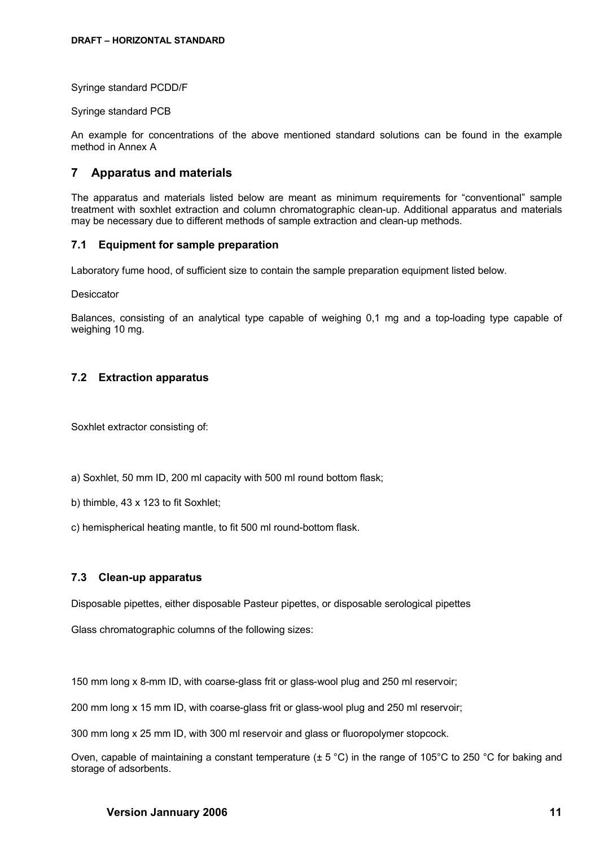Syringe standard PCDD/F

Syringe standard PCB

An example for concentrations of the above mentioned standard solutions can be found in the example method in [Annex](#page-27-1) A

# <span id="page-10-3"></span>**7 Apparatus and materials**

The apparatus and materials listed below are meant as minimum requirements for "conventional" sample treatment with soxhlet extraction and column chromatographic clean-up. Additional apparatus and materials may be necessary due to different methods of sample extraction and clean-up methods.

### <span id="page-10-2"></span>**7.1 Equipment for sample preparation**

Laboratory fume hood, of sufficient size to contain the sample preparation equipment listed below.

**Desiccator** 

Balances, consisting of an analytical type capable of weighing 0,1 mg and a top-loading type capable of weighing 10 mg.

### <span id="page-10-1"></span>**7.2 Extraction apparatus**

Soxhlet extractor consisting of:

- a) Soxhlet, 50 mm ID, 200 ml capacity with 500 ml round bottom flask;
- b) thimble, 43 x 123 to fit Soxhlet;
- c) hemispherical heating mantle, to fit 500 ml round-bottom flask.

### <span id="page-10-0"></span>**7.3 Clean-up apparatus**

Disposable pipettes, either disposable Pasteur pipettes, or disposable serological pipettes

Glass chromatographic columns of the following sizes:

150 mm long x 8-mm ID, with coarse-glass frit or glass-wool plug and 250 ml reservoir;

200 mm long x 15 mm ID, with coarse-glass frit or glass-wool plug and 250 ml reservoir;

300 mm long x 25 mm ID, with 300 ml reservoir and glass or fluoropolymer stopcock.

Oven, capable of maintaining a constant temperature ( $\pm$  5 °C) in the range of 105°C to 250 °C for baking and storage of adsorbents.

## **Version Jannuary 2006 11**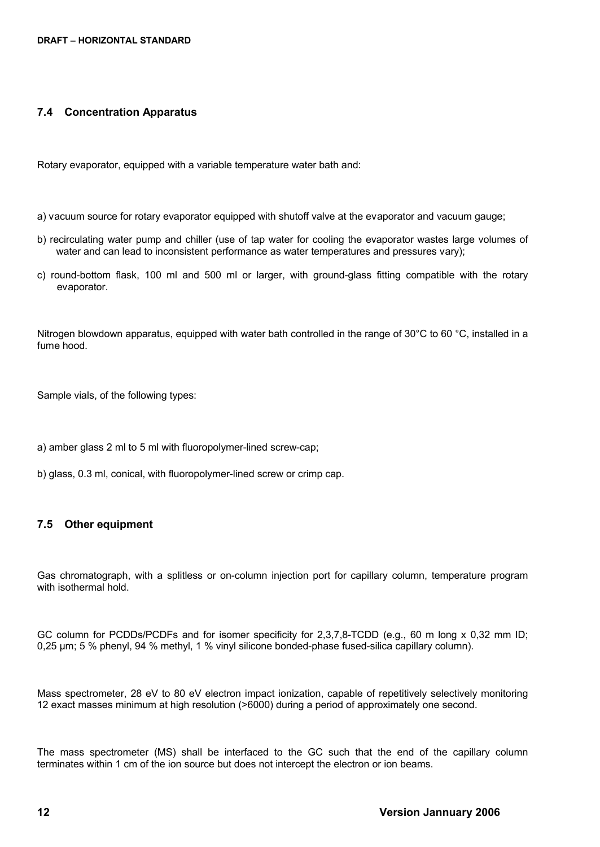# <span id="page-11-1"></span>**7.4 Concentration Apparatus**

Rotary evaporator, equipped with a variable temperature water bath and:

- a) vacuum source for rotary evaporator equipped with shutoff valve at the evaporator and vacuum gauge;
- b) recirculating water pump and chiller (use of tap water for cooling the evaporator wastes large volumes of water and can lead to inconsistent performance as water temperatures and pressures vary);
- c) round-bottom flask, 100 ml and 500 ml or larger, with ground-glass fitting compatible with the rotary evaporator.

Nitrogen blowdown apparatus, equipped with water bath controlled in the range of 30°C to 60 °C, installed in a fume hood.

Sample vials, of the following types:

a) amber glass 2 ml to 5 ml with fluoropolymer-lined screw-cap;

b) glass, 0.3 ml, conical, with fluoropolymer-lined screw or crimp cap.

# <span id="page-11-0"></span>**7.5 Other equipment**

Gas chromatograph, with a splitless or on-column injection port for capillary column, temperature program with isothermal hold.

GC column for PCDDs/PCDFs and for isomer specificity for 2,3,7,8-TCDD (e.g., 60 m long x 0,32 mm ID; 0,25 µm; 5 % phenyl, 94 % methyl, 1 % vinyl silicone bonded-phase fused-silica capillary column).

Mass spectrometer, 28 eV to 80 eV electron impact ionization, capable of repetitively selectively monitoring 12 exact masses minimum at high resolution (>6000) during a period of approximately one second.

The mass spectrometer (MS) shall be interfaced to the GC such that the end of the capillary column terminates within 1 cm of the ion source but does not intercept the electron or ion beams.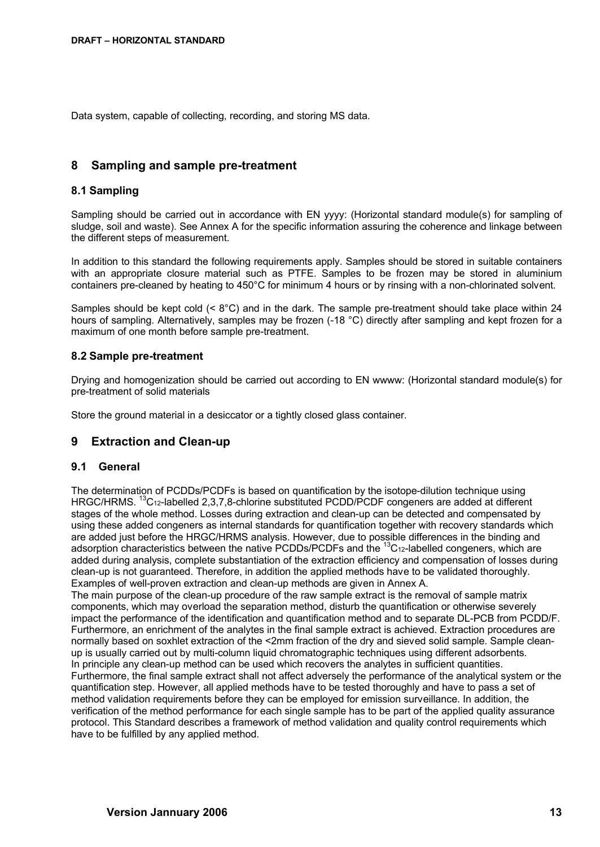Data system, capable of collecting, recording, and storing MS data.

# <span id="page-12-4"></span>**8 Sampling and sample pre-treatment**

### <span id="page-12-3"></span>**8.1 Sampling**

Sampling should be carried out in accordance with EN yyyy: (Horizontal standard module(s) for sampling of sludge, soil and waste). See Annex A for the specific information assuring the coherence and linkage between the different steps of measurement.

In addition to this standard the following requirements apply. Samples should be stored in suitable containers with an appropriate closure material such as PTFE. Samples to be frozen may be stored in aluminium containers pre-cleaned by heating to 450°C for minimum 4 hours or by rinsing with a non-chlorinated solvent.

Samples should be kept cold (< 8°C) and in the dark. The sample pre-treatment should take place within 24 hours of sampling. Alternatively, samples may be frozen (-18 °C) directly after sampling and kept frozen for a maximum of one month before sample pre-treatment.

### <span id="page-12-2"></span>**8.2 Sample pre-treatment**

Drying and homogenization should be carried out according to EN wwww: (Horizontal standard module(s) for pre-treatment of solid materials

Store the ground material in a desiccator or a tightly closed glass container.

# <span id="page-12-1"></span>**9 Extraction and Clean-up**

### <span id="page-12-0"></span>**9.1 General**

The determination of PCDDs/PCDFs is based on quantification by the isotope-dilution technique using HRGC/HRMS. <sup>13</sup>C<sub>12</sub>-labelled 2,3,7,8-chlorine substituted PCDD/PCDF congeners are added at different stages of the whole method. Losses during extraction and clean-up can be detected and compensated by using these added congeners as internal standards for quantification together with recovery standards which are added just before the HRGC/HRMS analysis. However, due to possible differences in the binding and adsorption characteristics between the native PCDDs/PCDFs and the <sup>13</sup>C<sub>12</sub>-labelled congeners, which are added during analysis, complete substantiation of the extraction efficiency and compensation of losses during clean-up is not guaranteed. Therefore, in addition the applied methods have to be validated thoroughly. Examples of well-proven extraction and clean-up methods are given in Annex A.

The main purpose of the clean-up procedure of the raw sample extract is the removal of sample matrix components, which may overload the separation method, disturb the quantification or otherwise severely impact the performance of the identification and quantification method and to separate DL-PCB from PCDD/F. Furthermore, an enrichment of the analytes in the final sample extract is achieved. Extraction procedures are normally based on soxhlet extraction of the <2mm fraction of the dry and sieved solid sample. Sample cleanup is usually carried out by multi-column liquid chromatographic techniques using different adsorbents. In principle any clean-up method can be used which recovers the analytes in sufficient quantities. Furthermore, the final sample extract shall not affect adversely the performance of the analytical system or the quantification step. However, all applied methods have to be tested thoroughly and have to pass a set of method validation requirements before they can be employed for emission surveillance. In addition, the verification of the method performance for each single sample has to be part of the applied quality assurance protocol. This Standard describes a framework of method validation and quality control requirements which have to be fulfilled by any applied method.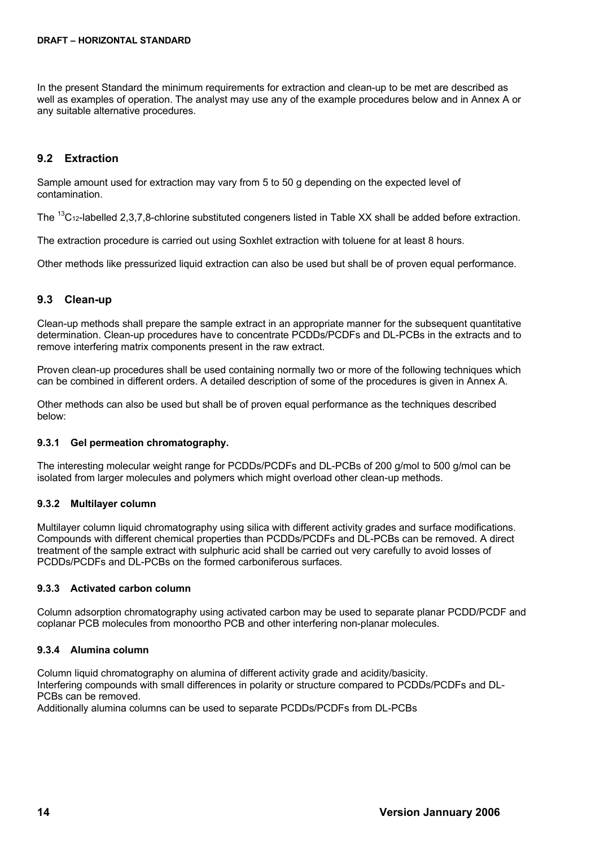In the present Standard the minimum requirements for extraction and clean-up to be met are described as well as examples of operation. The analyst may use any of the example procedures below and in Annex A or any suitable alternative procedures.

## <span id="page-13-5"></span>**9.2 Extraction**

Sample amount used for extraction may vary from 5 to 50 g depending on the expected level of contamination.

The <sup>13</sup>C<sub>12</sub>-labelled 2,3,7,8-chlorine substituted congeners listed in Table XX shall be added before extraction.

The extraction procedure is carried out using Soxhlet extraction with toluene for at least 8 hours.

Other methods like pressurized liquid extraction can also be used but shall be of proven equal performance.

### <span id="page-13-4"></span>**9.3 Clean-up**

Clean-up methods shall prepare the sample extract in an appropriate manner for the subsequent quantitative determination. Clean-up procedures have to concentrate PCDDs/PCDFs and DL-PCBs in the extracts and to remove interfering matrix components present in the raw extract.

Proven clean-up procedures shall be used containing normally two or more of the following techniques which can be combined in different orders. A detailed description of some of the procedures is given in Annex A.

Other methods can also be used but shall be of proven equal performance as the techniques described below:

#### <span id="page-13-3"></span>**9.3.1 Gel permeation chromatography.**

The interesting molecular weight range for PCDDs/PCDFs and DL-PCBs of 200 g/mol to 500 g/mol can be isolated from larger molecules and polymers which might overload other clean-up methods.

### <span id="page-13-2"></span>**9.3.2 Multilayer column**

Multilayer column liquid chromatography using silica with different activity grades and surface modifications. Compounds with different chemical properties than PCDDs/PCDFs and DL-PCBs can be removed. A direct treatment of the sample extract with sulphuric acid shall be carried out very carefully to avoid losses of PCDDs/PCDFs and DL-PCBs on the formed carboniferous surfaces.

### <span id="page-13-1"></span>**9.3.3 Activated carbon column**

Column adsorption chromatography using activated carbon may be used to separate planar PCDD/PCDF and coplanar PCB molecules from monoortho PCB and other interfering non-planar molecules.

### <span id="page-13-0"></span>**9.3.4 Alumina column**

Column liquid chromatography on alumina of different activity grade and acidity/basicity. Interfering compounds with small differences in polarity or structure compared to PCDDs/PCDFs and DL-PCBs can be removed.

Additionally alumina columns can be used to separate PCDDs/PCDFs from DL-PCBs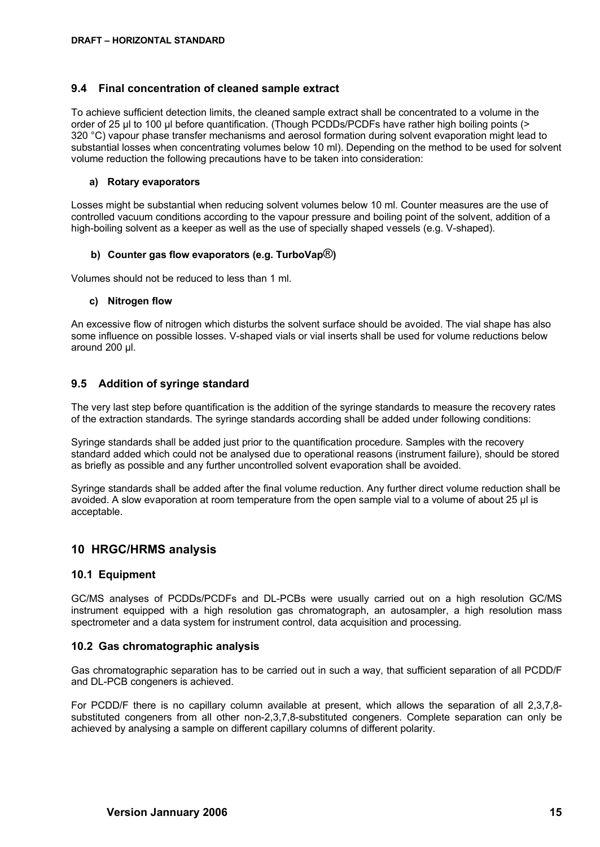### <span id="page-14-4"></span>**9.4 Final concentration of cleaned sample extract**

To achieve sufficient detection limits, the cleaned sample extract shall be concentrated to a volume in the order of 25 µl to 100 µl before quantification. (Though PCDDs/PCDFs have rather high boiling points (> 320 °C) vapour phase transfer mechanisms and aerosol formation during solvent evaporation might lead to substantial losses when concentrating volumes below 10 ml). Depending on the method to be used for solvent volume reduction the following precautions have to be taken into consideration:

#### **a) Rotary evaporators**

Losses might be substantial when reducing solvent volumes below 10 ml. Counter measures are the use of controlled vacuum conditions according to the vapour pressure and boiling point of the solvent, addition of a high-boiling solvent as a keeper as well as the use of specially shaped vessels (e.g. V-shaped).

#### **b) Counter gas flow evaporators (e.g. TurboVap**®**)**

Volumes should not be reduced to less than 1 ml.

#### **c) Nitrogen flow**

An excessive flow of nitrogen which disturbs the solvent surface should be avoided. The vial shape has also some influence on possible losses. V-shaped vials or vial inserts shall be used for volume reductions below around 200 µl.

### <span id="page-14-3"></span>**9.5 Addition of syringe standard**

The very last step before quantification is the addition of the syringe standards to measure the recovery rates of the extraction standards. The syringe standards according shall be added under following conditions:

Syringe standards shall be added just prior to the quantification procedure. Samples with the recovery standard added which could not be analysed due to operational reasons (instrument failure), should be stored as briefly as possible and any further uncontrolled solvent evaporation shall be avoided.

Syringe standards shall be added after the final volume reduction. Any further direct volume reduction shall be avoided. A slow evaporation at room temperature from the open sample vial to a volume of about 25 µl is acceptable.

# <span id="page-14-2"></span>**10 HRGC/HRMS analysis**

### <span id="page-14-1"></span>**10.1 Equipment**

GC/MS analyses of PCDDs/PCDFs and DL-PCBs were usually carried out on a high resolution GC/MS instrument equipped with a high resolution gas chromatograph, an autosampler, a high resolution mass spectrometer and a data system for instrument control, data acquisition and processing.

### <span id="page-14-0"></span>**10.2 Gas chromatographic analysis**

Gas chromatographic separation has to be carried out in such a way, that sufficient separation of all PCDD/F and DL-PCB congeners is achieved.

For PCDD/F there is no capillary column available at present, which allows the separation of all 2,3,7,8substituted congeners from all other non-2,3,7,8-substituted congeners. Complete separation can only be achieved by analysing a sample on different capillary columns of different polarity.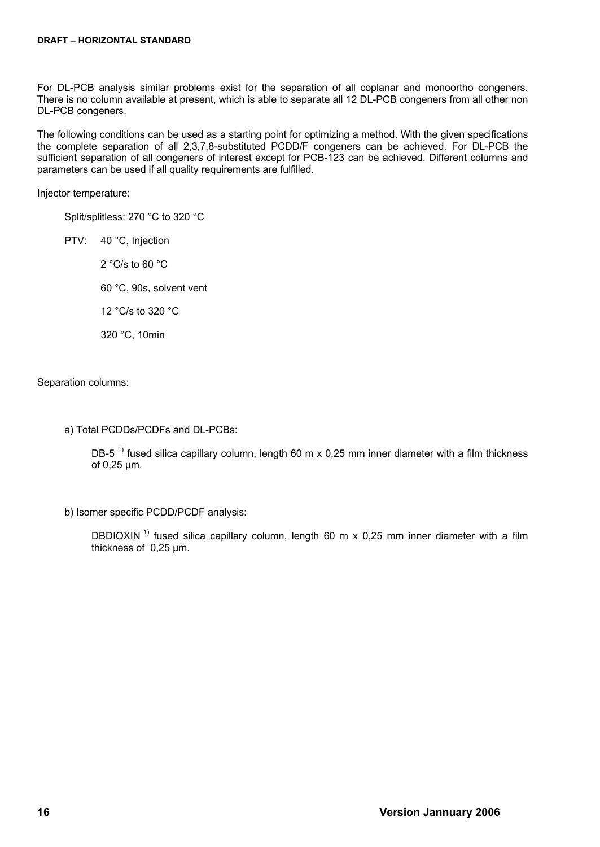For DL-PCB analysis similar problems exist for the separation of all coplanar and monoortho congeners. There is no column available at present, which is able to separate all 12 DL-PCB congeners from all other non DL-PCB congeners.

The following conditions can be used as a starting point for optimizing a method. With the given specifications the complete separation of all 2,3,7,8-substituted PCDD/F congeners can be achieved. For DL-PCB the sufficient separation of all congeners of interest except for PCB-123 can be achieved. Different columns and parameters can be used if all quality requirements are fulfilled.

Injector temperature:

Split/splitless: 270 °C to 320 °C

PTV: 40 °C, Injection

2 °C/s to 60 °C 60 °C, 90s, solvent vent

12 °C/s to 320 °C

320 °C, 10min

Separation columns:

a) Total PCDDs/PCDFs and DL-PCBs:

DB-5<sup>1)</sup> fused silica capillary column, length 60 m x 0.25 mm inner diameter with a film thickness of 0,25 μm.

b) Isomer specific PCDD/PCDF analysis:

DBDIOXIN<sup>1)</sup> fused silica capillary column, length 60 m x 0,25 mm inner diameter with a film thickness of 0,25 μm.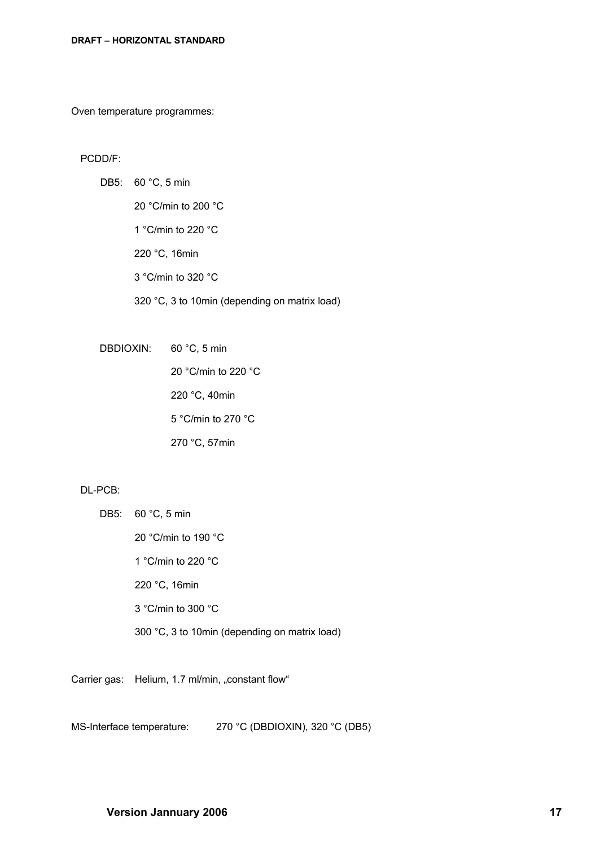Oven temperature programmes:

#### PCDD/F:

DB5: 60 °C, 5 min 20 °C/min to 200 °C 1 °C/min to 220 °C 220 °C, 16min 3 °C/min to 320 °C 320 °C, 3 to 10min (depending on matrix load)

DBDIOXIN: 60 °C, 5 min

20 °C/min to 220 °C 220 °C, 40min 5 °C/min to 270 °C 270 °C, 57min

#### DL-PCB:

| DB5: 60 °C, 5 min                             |
|-----------------------------------------------|
| 20 °C/min to 190 °C                           |
| 1 °C/min to 220 °C                            |
| 220 °C, 16min                                 |
| $3^{\circ}$ C/min to $300^{\circ}$ C          |
| 300 °C, 3 to 10min (depending on matrix load) |

Carrier gas: Helium, 1.7 ml/min, "constant flow"

MS-Interface temperature: 270 °C (DBDIOXIN), 320 °C (DB5)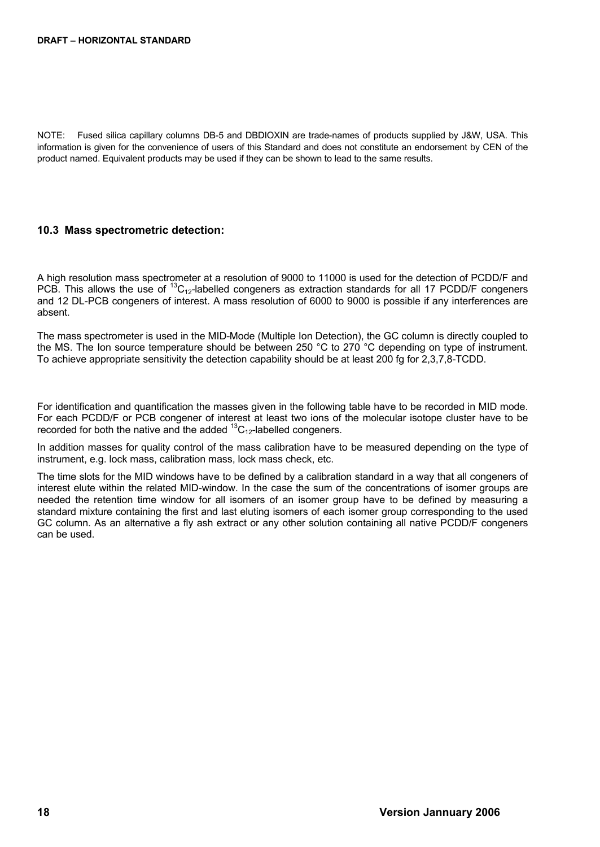NOTE: Fused silica capillary columns DB-5 and DBDIOXIN are trade-names of products supplied by J&W, USA. This information is given for the convenience of users of this Standard and does not constitute an endorsement by CEN of the product named. Equivalent products may be used if they can be shown to lead to the same results.

# <span id="page-17-0"></span>**10.3 Mass spectrometric detection:**

A high resolution mass spectrometer at a resolution of 9000 to 11000 is used for the detection of PCDD/F and PCB. This allows the use of  ${}^{13}C_{12}$ -labelled congeners as extraction standards for all 17 PCDD/F congeners and 12 DL-PCB congeners of interest. A mass resolution of 6000 to 9000 is possible if any interferences are absent.

The mass spectrometer is used in the MID-Mode (Multiple Ion Detection), the GC column is directly coupled to the MS. The Ion source temperature should be between 250 °C to 270 °C depending on type of instrument. To achieve appropriate sensitivity the detection capability should be at least 200 fg for 2,3,7,8-TCDD.

For identification and quantification the masses given in the following table have to be recorded in MID mode. For each PCDD/F or PCB congener of interest at least two ions of the molecular isotope cluster have to be recorded for both the native and the added  $^{13}C_{12}$ -labelled congeners.

In addition masses for quality control of the mass calibration have to be measured depending on the type of instrument, e.g. lock mass, calibration mass, lock mass check, etc.

The time slots for the MID windows have to be defined by a calibration standard in a way that all congeners of interest elute within the related MID-window. In the case the sum of the concentrations of isomer groups are needed the retention time window for all isomers of an isomer group have to be defined by measuring a standard mixture containing the first and last eluting isomers of each isomer group corresponding to the used GC column. As an alternative a fly ash extract or any other solution containing all native PCDD/F congeners can be used.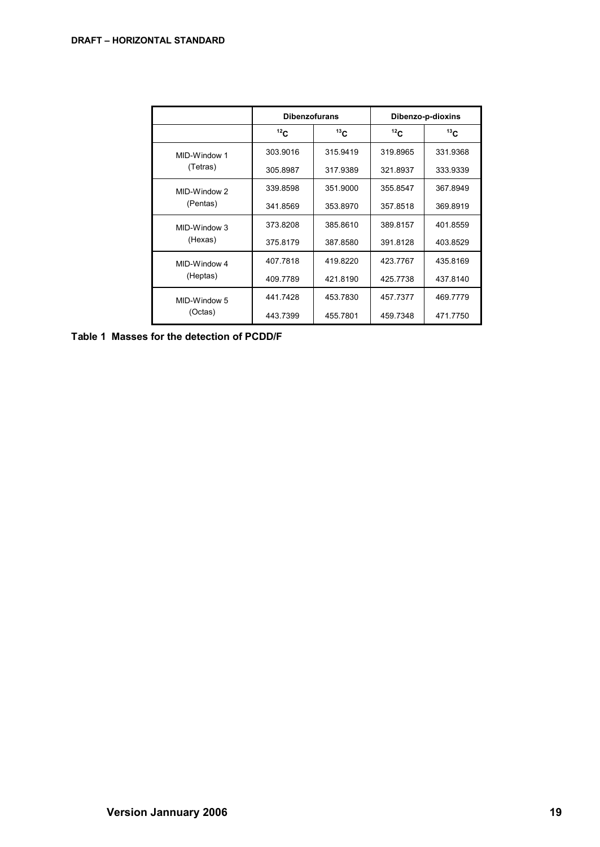|              | <b>Dibenzofurans</b>   |          | Dibenzo-p-dioxins |                 |
|--------------|------------------------|----------|-------------------|-----------------|
|              | 13 <sub>C</sub><br>12C |          | 12 <sub>C</sub>   | 13 <sub>C</sub> |
| MID-Window 1 | 303.9016               | 315.9419 | 319.8965          | 331.9368        |
| (Tetras)     | 305.8987               | 317.9389 | 321.8937          | 333.9339        |
| MID-Window 2 | 339.8598               | 351.9000 | 355.8547          | 367.8949        |
| (Pentas)     | 341.8569               | 353.8970 | 357.8518          | 369.8919        |
| MID-Window 3 | 373.8208               | 385.8610 | 389.8157          | 401.8559        |
| (Hexas)      | 375.8179               | 387.8580 | 391.8128          | 403.8529        |
| MID-Window 4 | 407.7818               | 419.8220 | 423.7767          | 435.8169        |
| (Heptas)     | 409.7789               | 421.8190 | 425.7738          | 437.8140        |
| MID-Window 5 | 441.7428               | 453.7830 | 457.7377          | 469.7779        |
| (Octas)      | 443.7399               | 455.7801 | 459.7348          | 471.7750        |

**Table 1 Masses for the detection of PCDD/F**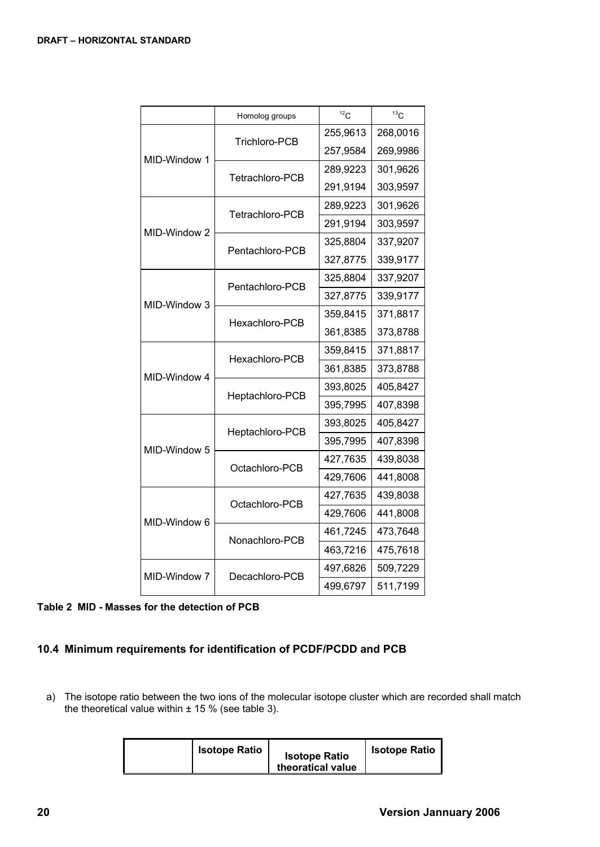|              | Homolog groups  | $12^1$ C | 13C      |
|--------------|-----------------|----------|----------|
|              | Trichloro-PCB   | 255,9613 | 268,0016 |
| MID-Window 1 |                 | 257,9584 | 269,9986 |
|              | Tetrachloro-PCB | 289,9223 | 301,9626 |
|              |                 | 291,9194 | 303,9597 |
|              | Tetrachloro-PCB | 289,9223 | 301,9626 |
| MID-Window 2 |                 | 291,9194 | 303,9597 |
|              | Pentachloro-PCB | 325,8804 | 337,9207 |
|              |                 | 327,8775 | 339,9177 |
|              | Pentachloro-PCB | 325,8804 | 337,9207 |
| MID-Window 3 |                 | 327,8775 | 339,9177 |
|              | Hexachloro-PCB  | 359,8415 | 371,8817 |
|              |                 | 361,8385 | 373,8788 |
|              | Hexachloro-PCB  | 359,8415 | 371,8817 |
| MID-Window 4 |                 | 361,8385 | 373,8788 |
|              | Heptachloro-PCB | 393,8025 | 405,8427 |
|              |                 | 395,7995 | 407,8398 |
|              | Heptachloro-PCB | 393,8025 | 405,8427 |
| MID-Window 5 |                 | 395,7995 | 407,8398 |
|              | Octachloro-PCB  | 427,7635 | 439,8038 |
|              |                 | 429,7606 | 441,8008 |
|              | Octachloro-PCB  | 427,7635 | 439,8038 |
| MID-Window 6 |                 | 429,7606 | 441,8008 |
|              | Nonachloro-PCB  | 461,7245 | 473,7648 |
|              |                 | 463,7216 | 475,7618 |
| MID-Window 7 | Decachloro-PCB  | 497,6826 | 509,7229 |
|              |                 | 499,6797 | 511,7199 |

### **Table 2 MID - Masses for the detection of PCB**

# <span id="page-19-0"></span>**10.4 Minimum requirements for identification of PCDF/PCDD and PCB**

a) The isotope ratio between the two ions of the molecular isotope cluster which are recorded shall match the theoretical value within  $\pm$  15 % (see table 3).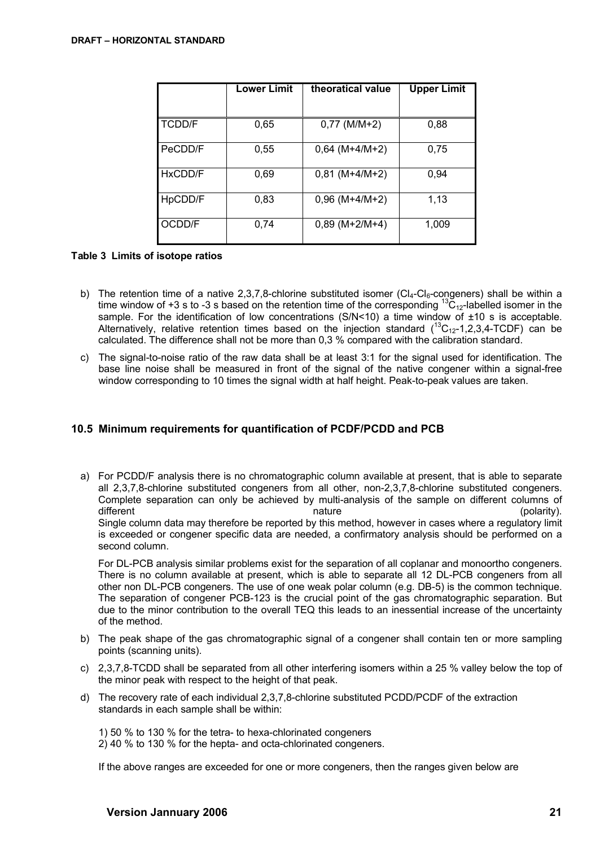|               | <b>Lower Limit</b> | theoratical value | <b>Upper Limit</b> |
|---------------|--------------------|-------------------|--------------------|
|               |                    |                   |                    |
| <b>TCDD/F</b> | 0,65               | $0,77$ (M/M+2)    | 0,88               |
| PeCDD/F       | 0,55               | $0,64$ (M+4/M+2)  | 0.75               |
| HxCDD/F       | 0,69               | $0,81$ (M+4/M+2)  | 0,94               |
| HpCDD/F       | 0,83               | $0,96$ (M+4/M+2)  | 1,13               |
| OCDD/F        | 0,74               | $0,89$ (M+2/M+4)  | 1,009              |

### **Table 3 Limits of isotope ratios**

- b) The retention time of a native 2,3,7,8-chlorine substituted isomer ( $Cl_4$ -Cl<sub>6</sub>-congeners) shall be within a time window of +3 s to -3 s based on the retention time of the corresponding <sup>13</sup>C<sub>12</sub>-labelled isomer in the sample. For the identification of low concentrations (S/N<10) a time window of  $\pm 10$  s is acceptable. Alternatively, relative retention times based on the injection standard  $(^{13}C_{12}$ -1,2,3,4-TCDF) can be calculated. The difference shall not be more than 0,3 % compared with the calibration standard.
- c) The signal-to-noise ratio of the raw data shall be at least 3:1 for the signal used for identification. The base line noise shall be measured in front of the signal of the native congener within a signal-free window corresponding to 10 times the signal width at half height. Peak-to-peak values are taken.

### <span id="page-20-0"></span>**10.5 Minimum requirements for quantification of PCDF/PCDD and PCB**

a) For PCDD/F analysis there is no chromatographic column available at present, that is able to separate all 2,3,7,8-chlorine substituted congeners from all other, non-2,3,7,8-chlorine substituted congeners. Complete separation can only be achieved by multi-analysis of the sample on different columns of different rature mature that the control of the control of the control of the control of the control of the control of the control of the control of the control of the control of the control of the control of the control o Single column data may therefore be reported by this method, however in cases where a regulatory limit is exceeded or congener specific data are needed, a confirmatory analysis should be performed on a second column.

For DL-PCB analysis similar problems exist for the separation of all coplanar and monoortho congeners. There is no column available at present, which is able to separate all 12 DL-PCB congeners from all other non DL-PCB congeners. The use of one weak polar column (e.g. DB-5) is the common technique. The separation of congener PCB-123 is the crucial point of the gas chromatographic separation. But due to the minor contribution to the overall TEQ this leads to an inessential increase of the uncertainty of the method.

- b) The peak shape of the gas chromatographic signal of a congener shall contain ten or more sampling points (scanning units).
- c) 2,3,7,8-TCDD shall be separated from all other interfering isomers within a 25 % valley below the top of the minor peak with respect to the height of that peak.
- d) The recovery rate of each individual 2,3,7,8-chlorine substituted PCDD/PCDF of the extraction standards in each sample shall be within:

1) 50 % to 130 % for the tetra- to hexa-chlorinated congeners 2) 40 % to 130 % for the hepta- and octa-chlorinated congeners.

If the above ranges are exceeded for one or more congeners, then the ranges given below are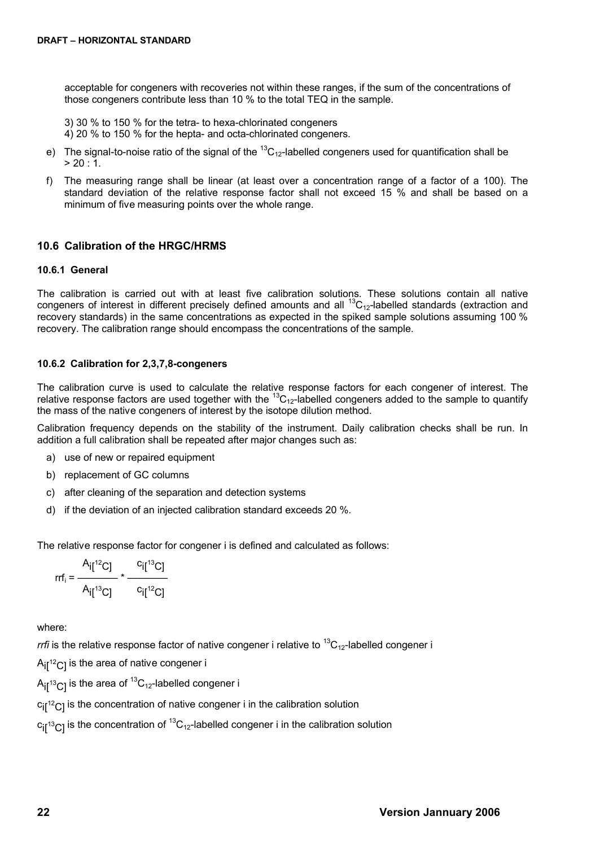acceptable for congeners with recoveries not within these ranges, if the sum of the concentrations of those congeners contribute less than 10 % to the total TEQ in the sample.

- 3) 30 % to 150 % for the tetra- to hexa-chlorinated congeners
- 4) 20 % to 150 % for the hepta- and octa-chlorinated congeners.
- e) The signal-to-noise ratio of the signal of the  ${}^{13}C_{12}$ -labelled congeners used for quantification shall be  $> 20:1$ .
- f) The measuring range shall be linear (at least over a concentration range of a factor of a 100). The standard deviation of the relative response factor shall not exceed 15 % and shall be based on a minimum of five measuring points over the whole range.

### <span id="page-21-2"></span>**10.6 Calibration of the HRGC/HRMS**

#### <span id="page-21-1"></span>**10.6.1 General**

The calibration is carried out with at least five calibration solutions. These solutions contain all native congeners of interest in different precisely defined amounts and all  ${}^{13}C_{12}$ -labelled standards (extraction and recovery standards) in the same concentrations as expected in the spiked sample solutions assuming 100 % recovery. The calibration range should encompass the concentrations of the sample.

#### <span id="page-21-0"></span>**10.6.2 Calibration for 2,3,7,8-congeners**

The calibration curve is used to calculate the relative response factors for each congener of interest. The relative response factors are used together with the  ${}^{13}C_{12}$ -labelled congeners added to the sample to quantify the mass of the native congeners of interest by the isotope dilution method.

Calibration frequency depends on the stability of the instrument. Daily calibration checks shall be run. In addition a full calibration shall be repeated after major changes such as:

- a) use of new or repaired equipment
- b) replacement of GC columns
- c) after cleaning of the separation and detection systems
- d) if the deviation of an injected calibration standard exceeds 20 %.

The relative response factor for congener i is defined and calculated as follows:

$$
rrf_i = \frac{A_i[{}^{12}C]}{A_i[{}^{13}C]} \times \frac{C_i[{}^{13}C]}{C_i[{}^{12}C]}
$$

where:

*rrfi* is the relative response factor of native congener i relative to  ${}^{13}C_{12}$ -labelled congener i

 $A_{\text{H}}^{12}C_{\text{I}}$  is the area of native congener i

 $A_{\text{if}}$ <sup>13</sup>C<sub>1</sub> is the area of <sup>13</sup>C<sub>12</sub>-labelled congener i

 $c_{\text{if}}^{12}$ C] is the concentration of native congener i in the calibration solution

 $c_{II}$ <sup>13</sup>C<sub>1</sub> is the concentration of <sup>13</sup>C<sub>12</sub>-labelled congener i in the calibration solution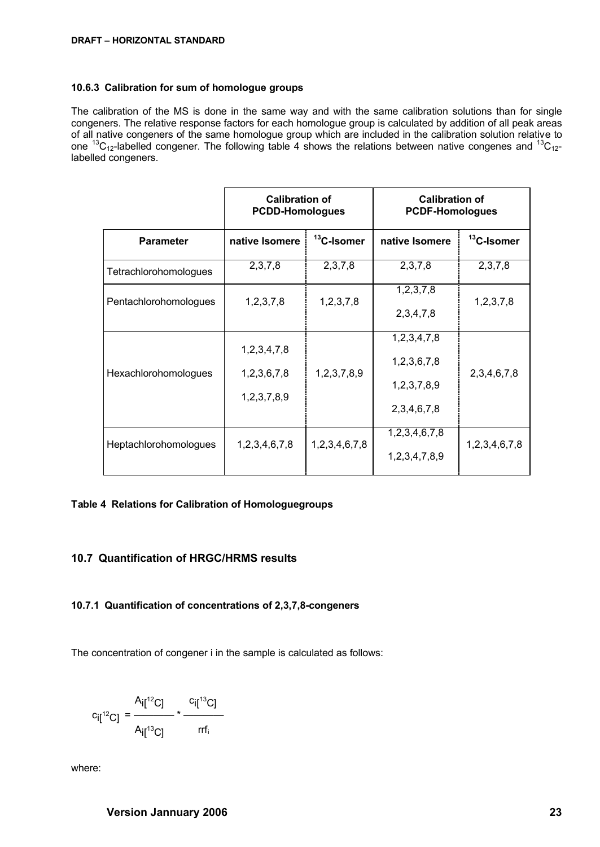#### <span id="page-22-2"></span>**10.6.3 Calibration for sum of homologue groups**

The calibration of the MS is done in the same way and with the same calibration solutions than for single congeners. The relative response factors for each homologue group is calculated by addition of all peak areas of all native congeners of the same homologue group which are included in the calibration solution relative to one <sup>13</sup>C<sub>12</sub>-labelled congener. The following table 4 shows the relations between native congenes and <sup>13</sup>C<sub>12</sub>labelled congeners.

|                              | <b>Calibration of</b><br><b>PCDD-Homologues</b> |                        | <b>Calibration of</b><br><b>PCDF-Homologues</b>               |                        |
|------------------------------|-------------------------------------------------|------------------------|---------------------------------------------------------------|------------------------|
| <b>Parameter</b>             | native Isomere                                  | <sup>13</sup> C-Isomer | native Isomere                                                | <sup>13</sup> C-Isomer |
| Tetrachlorohomologues        | 2,3,7,8                                         | 2,3,7,8                | 2,3,7,8                                                       | 2,3,7,8                |
| Pentachlorohomologues        | 1, 2, 3, 7, 8                                   | 1, 2, 3, 7, 8          | 1, 2, 3, 7, 8<br>2,3,4,7,8                                    | 1, 2, 3, 7, 8          |
| Hexachlorohomologues         | 1,2,3,4,7,8<br>1,2,3,6,7,8<br>1,2,3,7,8,9       | 1,2,3,7,8,9            | 1,2,3,4,7,8<br>1,2,3,6,7,8<br>1,2,3,7,8,9<br>2, 3, 4, 6, 7, 8 | 2, 3, 4, 6, 7, 8       |
| <b>Heptachlorohomologues</b> | 1,2,3,4,6,7,8                                   | 1,2,3,4,6,7,8          | 1,2,3,4,6,7,8<br>1,2,3,4,7,8,9                                | 1,2,3,4,6,7,8          |

### **Table 4 Relations for Calibration of Homologuegroups**

### <span id="page-22-1"></span>**10.7 Quantification of HRGC/HRMS results**

## <span id="page-22-0"></span>**10.7.1 Quantification of concentrations of 2,3,7,8-congeners**

The concentration of congener i in the sample is calculated as follows:

$$
c_{i[1^{12}C]} = \frac{A_{i[1^{12}C]}}{A_{i[1^{13}C]}} \times \frac{c_{i[1^{13}C]}}{rrf_i}
$$

where: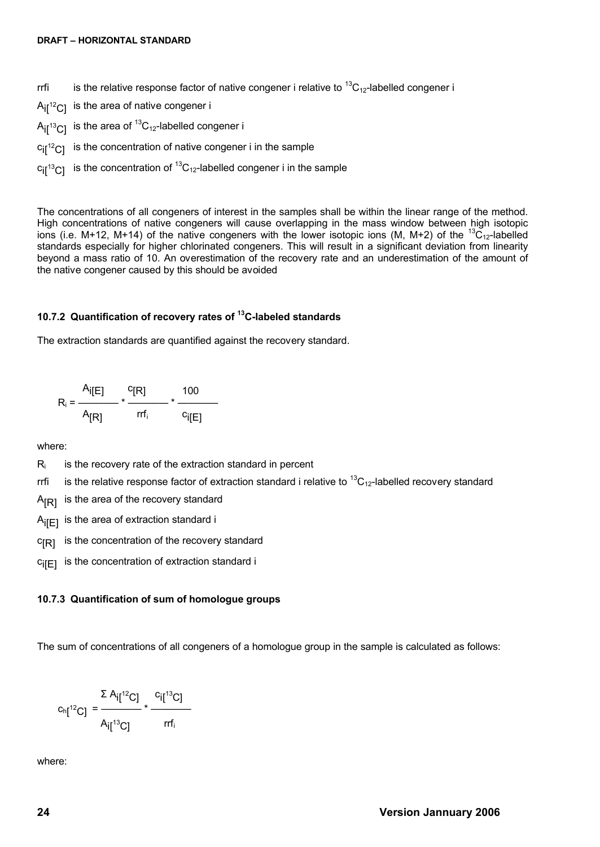- rrfi is the relative response factor of native congener i relative to  ${}^{13}C_{12}$ -labelled congener i
- $A_{\text{if}}{}^{12}C_{\text{I}}$  is the area of native congener i
- $A_{i}$ [<sup>13</sup>C] is the area of <sup>13</sup>C<sub>12</sub>-labelled congener i
- $c_{\text{if}}$ <sup>12</sup> $c_{\text{if}}$  is the concentration of native congener i in the sample
- $c_{II}^{13}C_{I}$  is the concentration of  ${}^{13}C_{12}$ -labelled congener i in the sample

The concentrations of all congeners of interest in the samples shall be within the linear range of the method. High concentrations of native congeners will cause overlapping in the mass window between high isotopic ions (i.e. M+12, M+14) of the native congeners with the lower isotopic ions (M, M+2) of the  ${}^{13}C_{12}$ -labelled standards especially for higher chlorinated congeners. This will result in a significant deviation from linearity beyond a mass ratio of 10. An overestimation of the recovery rate and an underestimation of the amount of the native congener caused by this should be avoided

### <span id="page-23-1"></span>**10.7.2 Quantification of recovery rates of <sup>13</sup>C-labeled standards**

The extraction standards are quantified against the recovery standard.

$$
R_i = \frac{A_i[E]}{A_{[R]}} \times \frac{{}^{C}[R]}{rrf_i} \times \frac{100}{c_i[E]}
$$

where:

- $R_i$  is the recovery rate of the extraction standard in percent
- rrfi is the relative response factor of extraction standard i relative to  ${}^{13}C_{12}$ -labelled recovery standard
- $A_{[R]}$  is the area of the recovery standard
- $A_{\text{IF1}}$  is the area of extraction standard i
- $c_{[R]}$  is the concentration of the recovery standard
- $c_{\text{ifF1}}$  is the concentration of extraction standard i

### <span id="page-23-0"></span>**10.7.3 Quantification of sum of homologue groups**

The sum of concentrations of all congeners of a homologue group in the sample is calculated as follows:

$$
c_{h[1^2C]} = \frac{\sum A_{i[1^2C]}}{A_{i[1^3C]}} \times \frac{c_{i[1^3C]}}{rrf_i}
$$

where: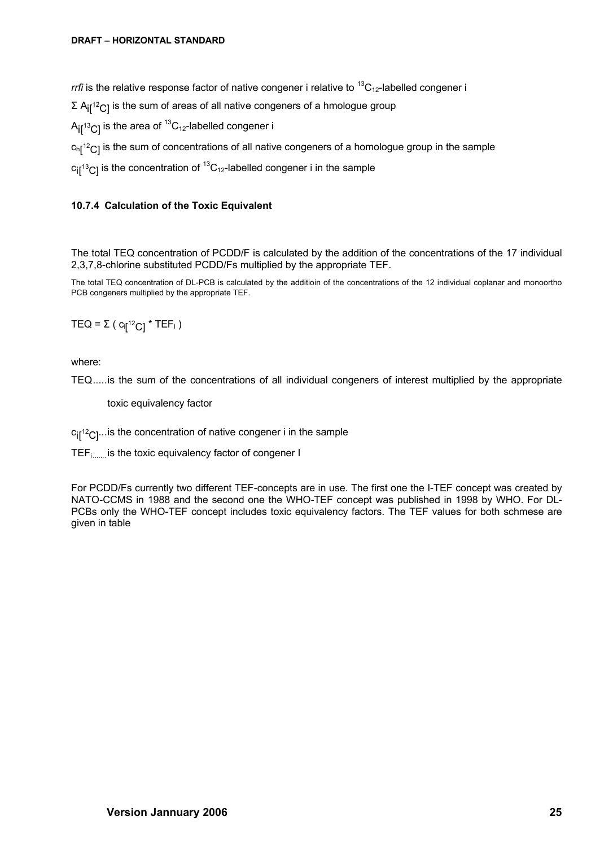*rrfi* is the relative response factor of native congener i relative to <sup>13</sup>C<sub>12</sub>-labelled congener i

 $\Sigma$  A<sub>il</sub><sup>12</sup>C<sub>1</sub> is the sum of areas of all native congeners of a hmologue group

 $A_{\text{I}}$ <sup>13</sup>C<sub>1</sub> is the area of <sup>13</sup>C<sub>12</sub>-labelled congener i

 $\mathrm{c}_{\mathrm{h}\llbracket^{12} \mathrm{C}\rrbracket}$  is the sum of concentrations of all native congeners of a homologue group in the sample

 $c_{\text{if}}^{13}$ C<sub>1</sub> is the concentration of  ${}^{13}C_{12}$ -labelled congener i in the sample

### <span id="page-24-0"></span>**10.7.4 Calculation of the Toxic Equivalent**

The total TEQ concentration of PCDD/F is calculated by the addition of the concentrations of the 17 individual 2,3,7,8-chlorine substituted PCDD/Fs multiplied by the appropriate TEF.

The total TEQ concentration of DL-PCB is calculated by the additioin of the concentrations of the 12 individual coplanar and monoortho PCB congeners multiplied by the appropriate TEF.

TEQ = Σ (  $c_{\sf i\sf [}^{12}$ C]  $^*$  TEF $_{\sf i}$  )

where:

TEQ.....is the sum of the concentrations of all individual congeners of interest multiplied by the appropriate

toxic equivalency factor

 $c_{\text{if}}$ <sup>12</sup> $c$ <sub>1</sub>... is the concentration of native congener i in the sample

TEFi....... is the toxic equivalency factor of congener I

For PCDD/Fs currently two different TEF-concepts are in use. The first one the I-TEF concept was created by NATO-CCMS in 1988 and the second one the WHO-TEF concept was published in 1998 by WHO. For DL-PCBs only the WHO-TEF concept includes toxic equivalency factors. The TEF values for both schmese are given in table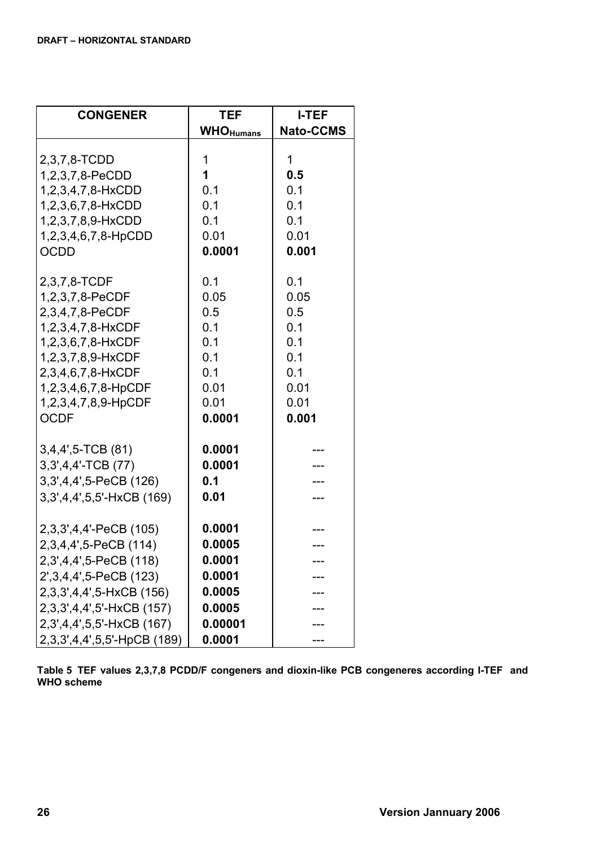| <b>CONGENER</b>             | <b>TEF</b>        | <b>I-TEF</b>     |
|-----------------------------|-------------------|------------------|
|                             | <b>WHO</b> Humans | <b>Nato-CCMS</b> |
| 2,3,7,8-TCDD                | 1                 | 1                |
| 1,2,3,7,8-PeCDD             | 1                 | 0.5              |
| 1,2,3,4,7,8-HxCDD           | 0.1               | 0.1              |
| 1,2,3,6,7,8-HxCDD           | 0.1               | 0.1              |
| 1,2,3,7,8,9-HxCDD           | 0.1               | 0.1              |
| 1,2,3,4,6,7,8-HpCDD         | 0.01              | 0.01             |
| <b>OCDD</b>                 | 0.0001            | 0.001            |
| 2,3,7,8-TCDF                | 0.1               | 0.1              |
| 1,2,3,7,8-PeCDF             | 0.05              | 0.05             |
| 2,3,4,7,8-PeCDF             | 0.5               | 0.5              |
| 1,2,3,4,7,8-HxCDF           | 0.1               | 0.1              |
| 1,2,3,6,7,8-HxCDF           | 0.1               | 0.1              |
| 1,2,3,7,8,9-HxCDF           | 0.1               | 0.1              |
| 2,3,4,6,7,8-HxCDF           | 0.1               | 0.1              |
| 1,2,3,4,6,7,8-HpCDF         | 0.01              | 0.01             |
| 1,2,3,4,7,8,9-HpCDF         | 0.01              | 0.01             |
| <b>OCDF</b>                 | 0.0001            | 0.001            |
| 3,4,4',5-TCB (81)           | 0.0001            |                  |
| 3,3',4,4'-TCB (77)          | 0.0001            |                  |
| 3, 3, 4, 4, 5-PeCB (126)    | 0.1               |                  |
| 3,3',4,4',5,5'-HxCB (169)   | 0.01              |                  |
|                             |                   |                  |
| 2,3,3',4,4'-PeCB (105)      | 0.0001            |                  |
| 2,3,4,4',5-PeCB (114)       | 0.0005            |                  |
| 2,3',4,4',5-PeCB (118)      | 0.0001            |                  |
| 2', 3, 4, 4', 5-PeCB (123)  | 0.0001            |                  |
| 2,3,3',4,4',5-HxCB (156)    | 0.0005            |                  |
| 2,3,3',4,4',5'-HxCB (157)   | 0.0005            |                  |
| 2,3',4,4',5,5'-HxCB (167)   | 0.00001           |                  |
| 2,3,3',4,4',5,5'-HpCB (189) | 0.0001            |                  |

**Table 5 TEF values 2,3,7,8 PCDD/F congeners and dioxin-like PCB congeneres according I-TEF and WHO scheme**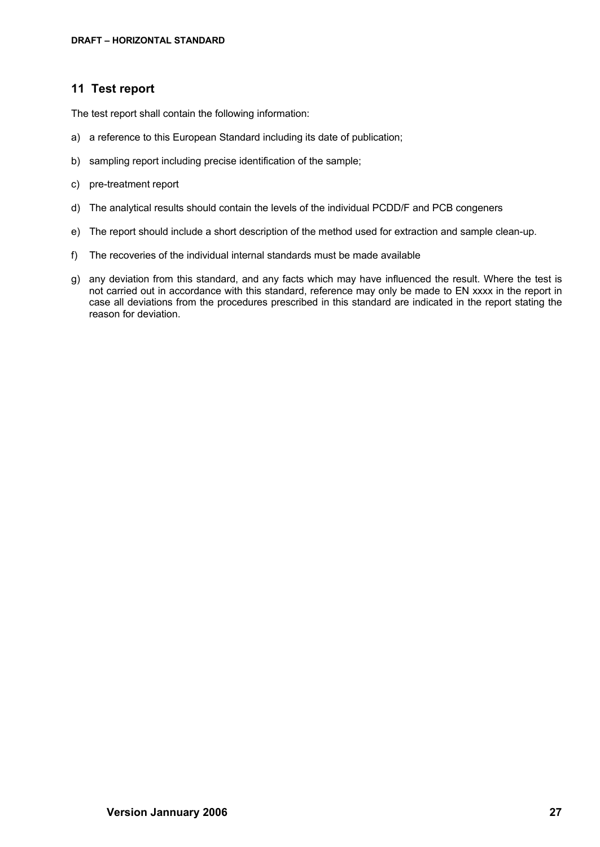# <span id="page-26-0"></span>**11 Test report**

The test report shall contain the following information:

- a) a reference to this European Standard including its date of publication;
- b) sampling report including precise identification of the sample;
- c) pre-treatment report
- d) The analytical results should contain the levels of the individual PCDD/F and PCB congeners
- e) The report should include a short description of the method used for extraction and sample clean-up.
- f) The recoveries of the individual internal standards must be made available
- g) any deviation from this standard, and any facts which may have influenced the result. Where the test is not carried out in accordance with this standard, reference may only be made to EN xxxx in the report in case all deviations from the procedures prescribed in this standard are indicated in the report stating the reason for deviation.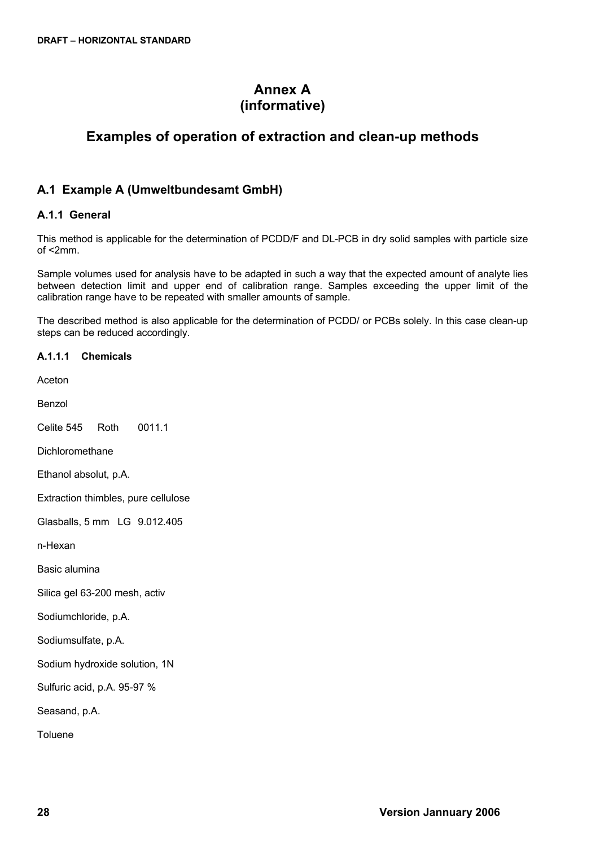# **Annex A (informative)**

# <span id="page-27-1"></span>**Examples of operation of extraction and clean-up methods**

# <span id="page-27-0"></span>**A.1 Example A (Umweltbundesamt GmbH)**

# <span id="page-27-2"></span>**A.1.1 General**

This method is applicable for the determination of PCDD/F and DL-PCB in dry solid samples with particle size of <2mm.

Sample volumes used for analysis have to be adapted in such a way that the expected amount of analyte lies between detection limit and upper end of calibration range. Samples exceeding the upper limit of the calibration range have to be repeated with smaller amounts of sample.

The described method is also applicable for the determination of PCDD/ or PCBs solely. In this case clean-up steps can be reduced accordingly.

**A.1.1.1 Chemicals** Aceton Benzol Celite 545 Roth 0011.1 Dichloromethane Ethanol absolut, p.A. Extraction thimbles, pure cellulose Glasballs, 5 mm LG 9.012.405 n-Hexan Basic alumina Silica gel 63-200 mesh, activ Sodiumchloride, p.A. Sodiumsulfate, p.A. Sodium hydroxide solution, 1N Sulfuric acid, p.A. 95-97 % Seasand, p.A. Toluene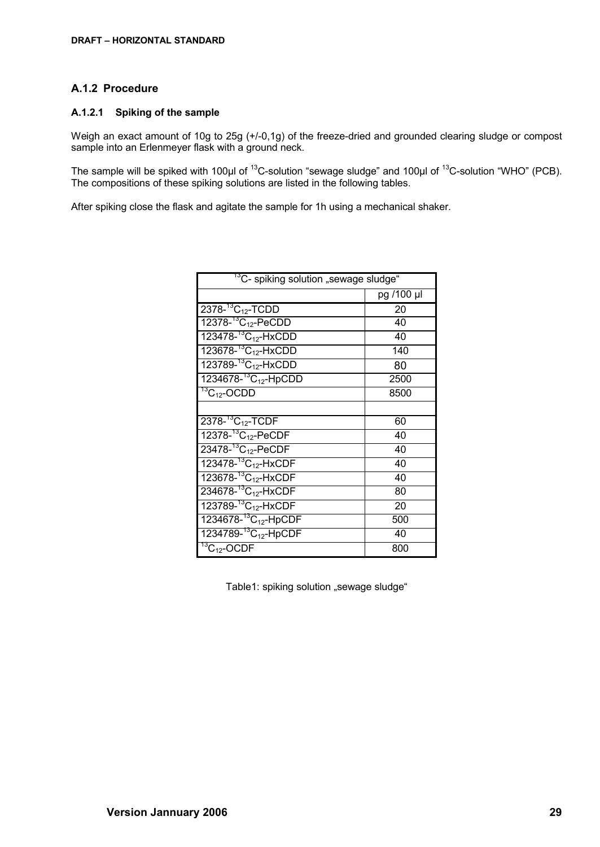### <span id="page-28-0"></span>**A.1.2 Procedure**

#### **A.1.2.1 Spiking of the sample**

Weigh an exact amount of 10g to 25g (+/-0,1g) of the freeze-dried and grounded clearing sludge or compost sample into an Erlenmeyer flask with a ground neck.

The sample will be spiked with 100µl of <sup>13</sup>C-solution "sewage sludge" and 100µl of <sup>13</sup>C-solution "WHO" (PCB). The compositions of these spiking solutions are listed in the following tables.

After spiking close the flask and agitate the sample for 1h using a mechanical shaker.

| <sup>13</sup> C- spiking solution "sewage sludge" |            |  |  |
|---------------------------------------------------|------------|--|--|
|                                                   | pg /100 µl |  |  |
| $2378 - {}^{13}C_{12}$ -TCDD                      | 20         |  |  |
| $12378 - {}^{13}C_{12}$ -PeCDD                    | 40         |  |  |
| 123478- <sup>13</sup> C <sub>12</sub> -HxCDD      | 40         |  |  |
| 123678- <sup>13</sup> C <sub>12</sub> -HxCDD      | 140        |  |  |
| 123789- <sup>13</sup> C <sub>12</sub> -HxCDD      | 80         |  |  |
| 1234678- <sup>13</sup> C <sub>12</sub> -HpCDD     | 2500       |  |  |
| $\overline{^{13}C_{12}}$ -OCDD                    | 8500       |  |  |
|                                                   |            |  |  |
| $2378 - {}^{13}C_{12}$ -TCDF                      | 60         |  |  |
| $12378 - {}^{13}C_{12} - \text{PeCDF}$            | 40         |  |  |
| $23478 - {}^{13}C_{12}$ -PeCDF                    | 40         |  |  |
| 123478- <sup>13</sup> C <sub>12</sub> -HxCDF      | 40         |  |  |
| 123678- <sup>13</sup> C <sub>12</sub> -HxCDF      | 40         |  |  |
| 234678- <sup>13</sup> C <sub>12</sub> -HxCDF      | 80         |  |  |
| 123789- <sup>13</sup> C <sub>12</sub> -HxCDF      | 20         |  |  |
| 1234678- <sup>13</sup> C <sub>12</sub> -HpCDF     | 500        |  |  |
| $1234789 - {}^{13}C_{12}$ -HpCDF                  | 40         |  |  |
| $\sqrt[13]{C_{12}}$ -OCDF                         | 800        |  |  |

Table1: spiking solution "sewage sludge"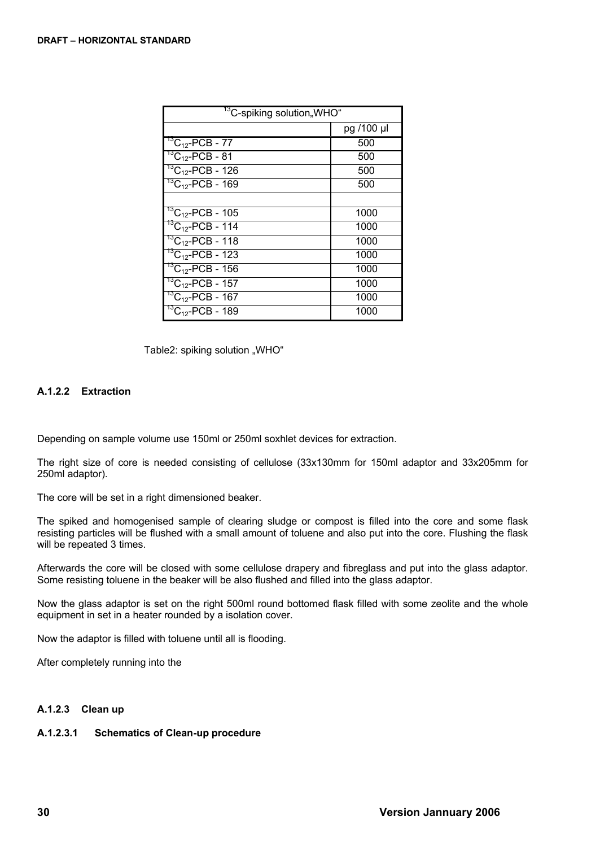| <sup>13</sup> C-spiking solution"WHO"    |            |  |
|------------------------------------------|------------|--|
|                                          | pg /100 µl |  |
| $^{13}C_{12}$ -PCB - 77                  | 500        |  |
| $^{13}C_{12}$ -PCB - 81                  | 500        |  |
| $^{13}C_{12}$ -PCB - 126                 | 500        |  |
| $^{13}$ C <sub>12</sub> -PCB - 169       | 500        |  |
|                                          |            |  |
| $^{13}$ C <sub>12</sub> -PCB - 105       | 1000       |  |
| $^{13}C_{12}$ -PCB - 114                 | 1000       |  |
| $^{13}C_{12}$ -PCB - 118                 | 1000       |  |
| $^{13}C_{12}$ -PCB - 123                 | 1000       |  |
| ${}^{13}C_{12}$ -PCB - 156               | 1000       |  |
| <sup>13</sup> C <sub>12</sub> -PCB - 157 | 1000       |  |
| $^{13}C_{12}$ -PCB - 167                 | 1000       |  |
| ${}^{13}C_{12}$ -PCB - 189               | 1000       |  |

Table2: spiking solution "WHO"

# **A.1.2.2 Extraction**

Depending on sample volume use 150ml or 250ml soxhlet devices for extraction.

The right size of core is needed consisting of cellulose (33x130mm for 150ml adaptor and 33x205mm for 250ml adaptor).

The core will be set in a right dimensioned beaker.

The spiked and homogenised sample of clearing sludge or compost is filled into the core and some flask resisting particles will be flushed with a small amount of toluene and also put into the core. Flushing the flask will be repeated 3 times.

Afterwards the core will be closed with some cellulose drapery and fibreglass and put into the glass adaptor. Some resisting toluene in the beaker will be also flushed and filled into the glass adaptor.

Now the glass adaptor is set on the right 500ml round bottomed flask filled with some zeolite and the whole equipment in set in a heater rounded by a isolation cover.

Now the adaptor is filled with toluene until all is flooding.

After completely running into the

### **A.1.2.3 Clean up**

### **A.1.2.3.1 Schematics of Clean-up procedure**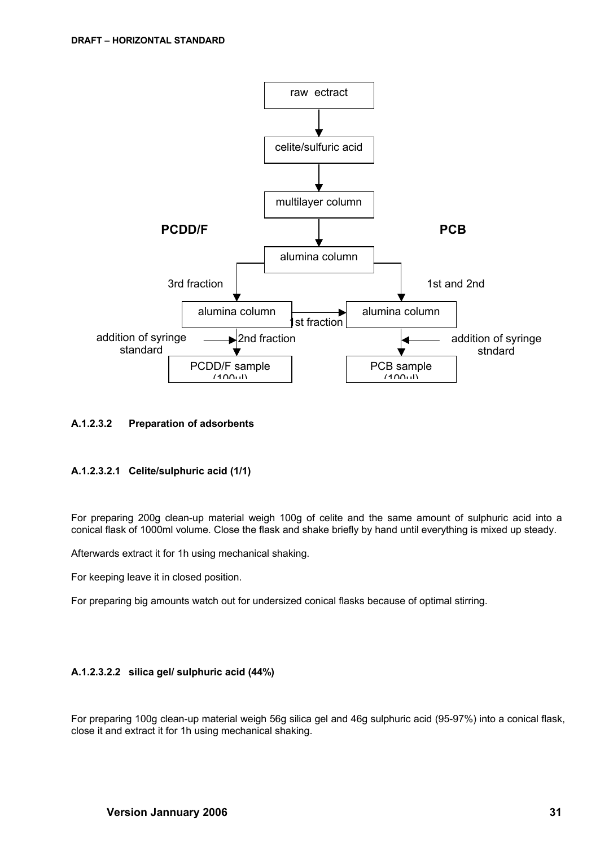

### **A.1.2.3.2 Preparation of adsorbents**

### **A.1.2.3.2.1 Celite/sulphuric acid (1/1)**

For preparing 200g clean-up material weigh 100g of celite and the same amount of sulphuric acid into a conical flask of 1000ml volume. Close the flask and shake briefly by hand until everything is mixed up steady.

Afterwards extract it for 1h using mechanical shaking.

For keeping leave it in closed position.

For preparing big amounts watch out for undersized conical flasks because of optimal stirring.

### **A.1.2.3.2.2 silica gel/ sulphuric acid (44%)**

For preparing 100g clean-up material weigh 56g silica gel and 46g sulphuric acid (95-97%) into a conical flask, close it and extract it for 1h using mechanical shaking.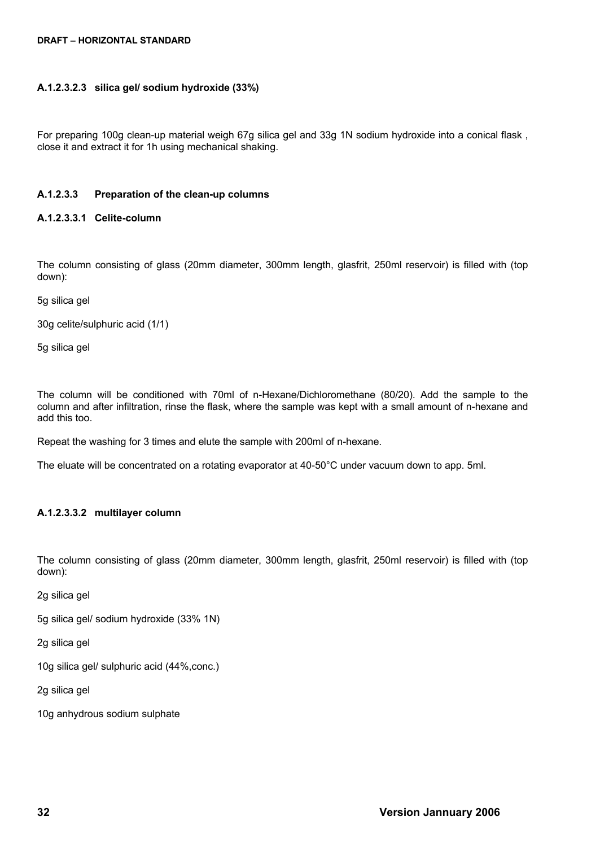#### **DRAFT – HORIZONTAL STANDARD**

#### **A.1.2.3.2.3 silica gel/ sodium hydroxide (33%)**

For preparing 100g clean-up material weigh 67g silica gel and 33g 1N sodium hydroxide into a conical flask, close it and extract it for 1h using mechanical shaking.

#### **A.1.2.3.3 Preparation of the clean-up columns**

#### **A.1.2.3.3.1 Celite-column**

The column consisting of glass (20mm diameter, 300mm length, glasfrit, 250ml reservoir) is filled with (top down):

5g silica gel

30g celite/sulphuric acid (1/1)

5g silica gel

The column will be conditioned with 70ml of n-Hexane/Dichloromethane (80/20). Add the sample to the column and after infiltration, rinse the flask, where the sample was kept with a small amount of n-hexane and add this too.

Repeat the washing for 3 times and elute the sample with 200ml of n-hexane.

The eluate will be concentrated on a rotating evaporator at 40-50°C under vacuum down to app. 5ml.

### **A.1.2.3.3.2 multilayer column**

The column consisting of glass (20mm diameter, 300mm length, glasfrit, 250ml reservoir) is filled with (top down):

2g silica gel

5g silica gel/ sodium hydroxide (33% 1N)

2g silica gel

10g silica gel/ sulphuric acid (44%,conc.)

2g silica gel

10g anhydrous sodium sulphate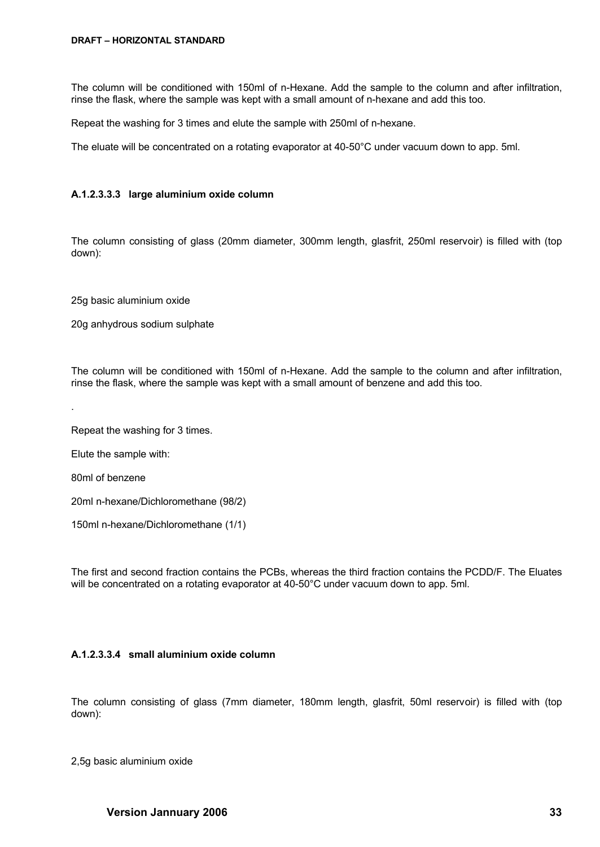The column will be conditioned with 150ml of n-Hexane. Add the sample to the column and after infiltration, rinse the flask, where the sample was kept with a small amount of n-hexane and add this too.

Repeat the washing for 3 times and elute the sample with 250ml of n-hexane.

The eluate will be concentrated on a rotating evaporator at 40-50°C under vacuum down to app. 5ml.

#### <span id="page-32-1"></span>**A.1.2.3.3.3 large aluminium oxide column**

The column consisting of glass (20mm diameter, 300mm length, glasfrit, 250ml reservoir) is filled with (top down):

25g basic aluminium oxide

20g anhydrous sodium sulphate

The column will be conditioned with 150ml of n-Hexane. Add the sample to the column and after infiltration, rinse the flask, where the sample was kept with a small amount of benzene and add this too.

Repeat the washing for 3 times.

Elute the sample with:

80ml of benzene

.

20ml n-hexane/Dichloromethane (98/2)

150ml n-hexane/Dichloromethane (1/1)

The first and second fraction contains the PCBs, whereas the third fraction contains the PCDD/F. The Eluates will be concentrated on a rotating evaporator at 40-50°C under vacuum down to app. 5ml.

### <span id="page-32-0"></span>**A.1.2.3.3.4 small aluminium oxide column**

The column consisting of glass (7mm diameter, 180mm length, glasfrit, 50ml reservoir) is filled with (top down):

2,5g basic aluminium oxide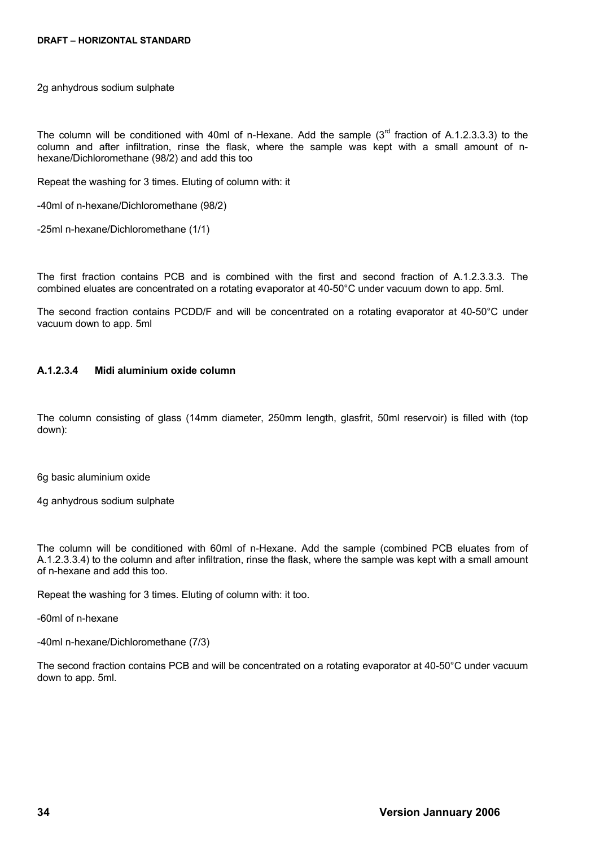2g anhydrous sodium sulphate

The column will be conditioned with 40ml of n-Hexane. Add the sample  $(3<sup>rd</sup>$  fraction of [A.1.2.3.3.3\)](#page-32-1) to the column and after infiltration, rinse the flask, where the sample was kept with a small amount of nhexane/Dichloromethane (98/2) and add this too

Repeat the washing for 3 times. Eluting of column with: it

-40ml of n-hexane/Dichloromethane (98/2)

-25ml n-hexane/Dichloromethane (1/1)

The first fraction contains PCB and is combined with the first and second fraction of [A.1.2.3.3.3.](#page-32-1) The combined eluates are concentrated on a rotating evaporator at 40-50°C under vacuum down to app. 5ml.

The second fraction contains PCDD/F and will be concentrated on a rotating evaporator at 40-50°C under vacuum down to app. 5ml

#### **A.1.2.3.4 Midi aluminium oxide column**

The column consisting of glass (14mm diameter, 250mm length, glasfrit, 50ml reservoir) is filled with (top down):

6g basic aluminium oxide

4g anhydrous sodium sulphate

The column will be conditioned with 60ml of n-Hexane. Add the sample (combined PCB eluates from of [A.1.2.3.3.4\)](#page-32-0) to the column and after infiltration, rinse the flask, where the sample was kept with a small amount of n-hexane and add this too.

Repeat the washing for 3 times. Eluting of column with: it too.

-60ml of n-hexane

-40ml n-hexane/Dichloromethane (7/3)

The second fraction contains PCB and will be concentrated on a rotating evaporator at 40-50°C under vacuum down to app. 5ml.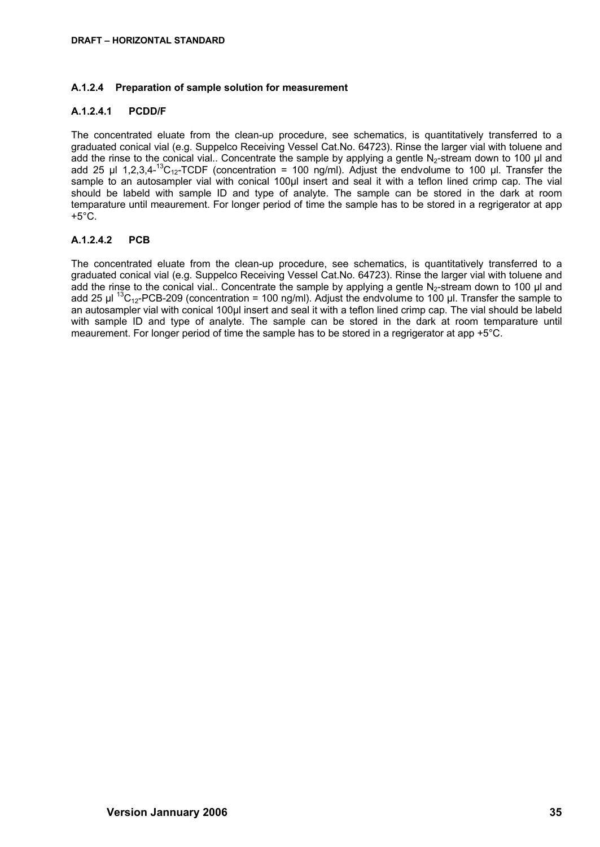### **A.1.2.4 Preparation of sample solution for measurement**

### **A.1.2.4.1 PCDD/F**

The concentrated eluate from the clean-up procedure, see schematics, is quantitatively transferred to a graduated conical vial (e.g. Suppelco Receiving Vessel Cat.No. 64723). Rinse the larger vial with toluene and add the rinse to the conical vial.. Concentrate the sample by applying a gentle  $N<sub>2</sub>$ -stream down to 100 µl and add 25 µl 1,2,3,4-<sup>13</sup>C<sub>12</sub>-TCDF (concentration = 100 ng/ml). Adjust the endvolume to 100 µl. Transfer the sample to an autosampler vial with conical 100µl insert and seal it with a teflon lined crimp cap. The vial should be labeld with sample ID and type of analyte. The sample can be stored in the dark at room temparature until meaurement. For longer period of time the sample has to be stored in a regrigerator at app  $+5^{\circ}$ C.

### **A.1.2.4.2 PCB**

The concentrated eluate from the clean-up procedure, see schematics, is quantitatively transferred to a graduated conical vial (e.g. Suppelco Receiving Vessel Cat.No. 64723). Rinse the larger vial with toluene and add the rinse to the conical vial.. Concentrate the sample by applying a gentle N<sub>2</sub>-stream down to 100  $\mu$ l and add 25  $\mu$ l <sup>13</sup>C<sub>12</sub>-PCB-209 (concentration = 100 ng/ml). Adjust the endvolume to 100  $\mu$ l. Transfer the sample to an autosampler vial with conical 100µl insert and seal it with a teflon lined crimp cap. The vial should be labeld with sample ID and type of analyte. The sample can be stored in the dark at room temparature until meaurement. For longer period of time the sample has to be stored in a regrigerator at app +5°C.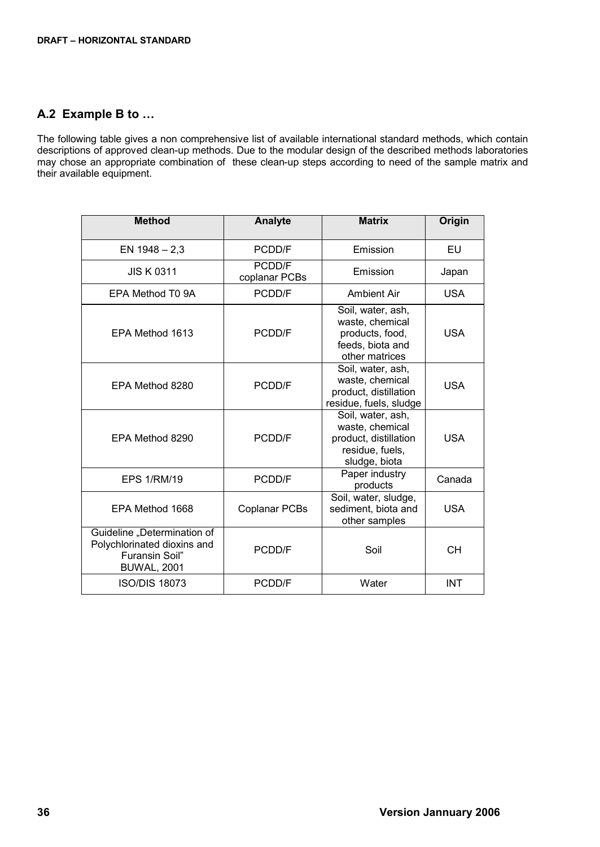# <span id="page-35-0"></span>**A.2 Example B to …**

The following table gives a non comprehensive list of available international standard methods, which contain descriptions of approved clean-up methods. Due to the modular design of the described methods laboratories may chose an appropriate combination of these clean-up steps according to need of the sample matrix and their available equipment.

| <b>Method</b>                                                                                      | Analyte                 | <b>Matrix</b>                                                                                     | Origin     |
|----------------------------------------------------------------------------------------------------|-------------------------|---------------------------------------------------------------------------------------------------|------------|
| EN $1948 - 2,3$                                                                                    | PCDD/F                  | Emission                                                                                          | EU         |
| <b>JIS K 0311</b>                                                                                  | PCDD/F<br>coplanar PCBs | Emission                                                                                          | Japan      |
| EPA Method T0 9A                                                                                   | PCDD/F                  | Ambient Air                                                                                       | <b>USA</b> |
| EPA Method 1613                                                                                    | PCDD/F                  | Soil, water, ash,<br>waste, chemical<br>products, food,<br>feeds, biota and<br>other matrices     | USA        |
| EPA Method 8280                                                                                    | PCDD/F                  | Soil, water, ash,<br>waste, chemical<br>product, distillation<br>residue, fuels, sludge           | <b>USA</b> |
| EPA Method 8290                                                                                    | PCDD/F                  | Soil, water, ash,<br>waste, chemical<br>product, distillation<br>residue, fuels,<br>sludge, biota | <b>USA</b> |
| <b>EPS 1/RM/19</b>                                                                                 | PCDD/F                  | Paper industry<br>products                                                                        | Canada     |
| EPA Method 1668                                                                                    | <b>Coplanar PCBs</b>    | Soil, water, sludge,<br>sediment, biota and<br>other samples                                      | <b>USA</b> |
| Guideline "Determination of<br>Polychlorinated dioxins and<br>Furansin Soil"<br><b>BUWAL, 2001</b> | <b>PCDD/F</b>           | Soil                                                                                              | <b>CH</b>  |
| <b>ISO/DIS 18073</b>                                                                               | PCDD/F                  | Water                                                                                             | <b>INT</b> |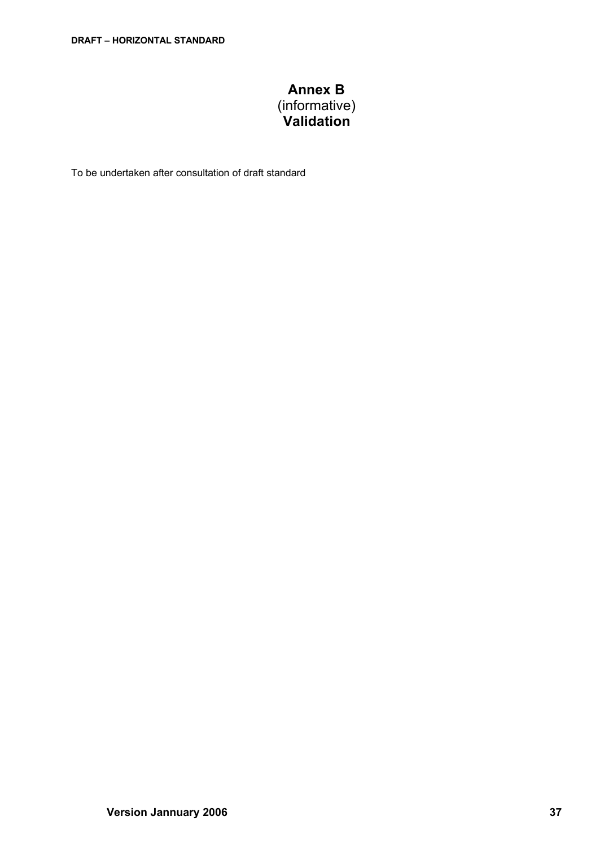# **Annex B** (informative) **Validation**

<span id="page-36-0"></span>To be undertaken after consultation of draft standard